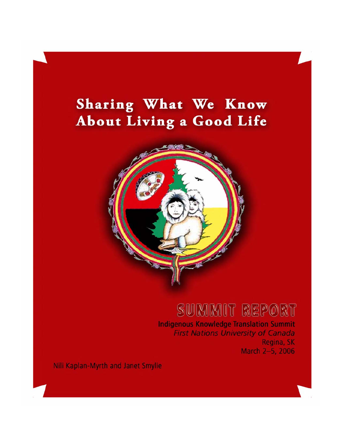# Sharing What We Know About Living a Good Life



# SUMMIT REPORT

**Indigenous Knowledge Translation Summit First Nations University of Canada** Regina, SK March 2-5, 2006

Nili Kaplan-Myrth and Janet Smylie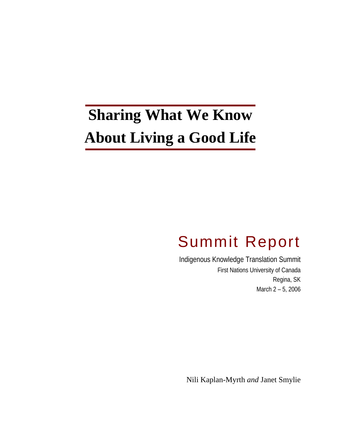# **Sharing What We Know About Living a Good Life**

# Summit Report

Indigenous Knowledge Translation Summit First Nations University of Canada Regina, SK March 2 – 5, 2006

Nili Kaplan-Myrth *and* Janet Smylie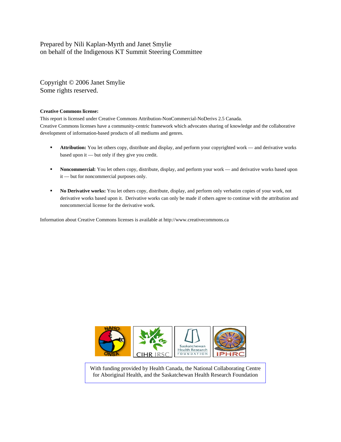#### Prepared by Nili Kaplan-Myrth and Janet Smylie on behalf of the Indigenous KT Summit Steering Committee

Copyright © 2006 Janet Smylie Some rights reserved.

#### **Creative Commons license:**

This report is licensed under Creative Commons Attribution-NonCommercial-NoDerivs 2.5 Canada. Creative Commons licenses have a community-centric framework which advocates sharing of knowledge and the collaborative development of information-based products of all mediums and genres.

- **Attribution:** You let others copy, distribute and display, and perform your copyrighted work and derivative works based upon it — but only if they give you credit.
- **Noncommercial:** You let others copy, distribute, display, and perform your work and derivative works based upon it — but for noncommercial purposes only.
- **No Derivative works:** You let others copy, distribute, display, and perform only verbatim copies of your work, not derivative works based upon it. Derivative works can only be made if others agree to continue with the attribution and noncommercial license for the derivative work.

Information about Creative Commons licenses is available at http://www.creativecommons.ca



With funding provided by Health Canada, the National Collaborating Centre for Aboriginal Health, and the Saskatchewan Health Research Foundation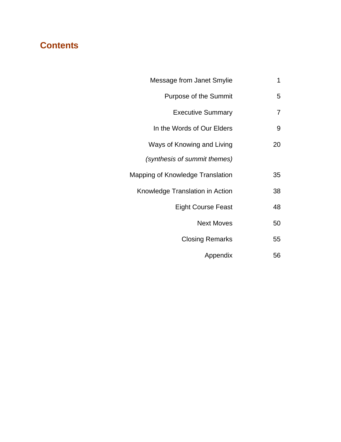# **Contents**

| Message from Janet Smylie        | 1  |
|----------------------------------|----|
| <b>Purpose of the Summit</b>     | 5  |
| <b>Executive Summary</b>         | 7  |
| In the Words of Our Elders       | 9  |
| Ways of Knowing and Living       | 20 |
| (synthesis of summit themes)     |    |
| Mapping of Knowledge Translation | 35 |
| Knowledge Translation in Action  | 38 |
| <b>Eight Course Feast</b>        | 48 |
| <b>Next Moves</b>                | 50 |
| <b>Closing Remarks</b>           | 55 |
| Appendix                         | 56 |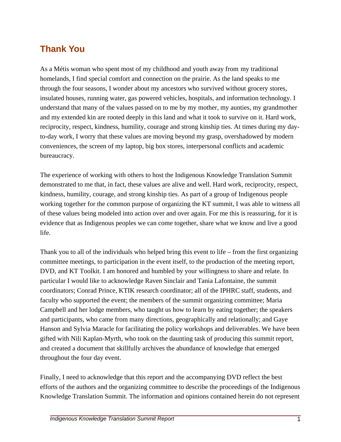# **Thank You**

As a Métis woman who spent most of my childhood and youth away from my traditional homelands, I find special comfort and connection on the prairie. As the land speaks to me through the four seasons, I wonder about my ancestors who survived without grocery stores, insulated houses, running water, gas powered vehicles, hospitals, and information technology. I understand that many of the values passed on to me by my mother, my aunties, my grandmother and my extended kin are rooted deeply in this land and what it took to survive on it. Hard work, reciprocity, respect, kindness, humility, courage and strong kinship ties. At times during my dayto-day work, I worry that these values are moving beyond my grasp, overshadowed by modern conveniences, the screen of my laptop, big box stores, interpersonal conflicts and academic bureaucracy.

The experience of working with others to host the Indigenous Knowledge Translation Summit demonstrated to me that, in fact, these values are alive and well. Hard work, reciprocity, respect, kindness, humility, courage, and strong kinship ties. As part of a group of Indigenous people working together for the common purpose of organizing the KT summit, I was able to witness all of these values being modeled into action over and over again. For me this is reassuring, for it is evidence that as Indigenous peoples we can come together, share what we know and live a good life.

Thank you to all of the individuals who helped bring this event to life – from the first organizing committee meetings, to participation in the event itself, to the production of the meeting report, DVD, and KT Toolkit. I am honored and humbled by your willingness to share and relate. In particular I would like to acknowledge Raven Sinclair and Tania Lafontaine, the summit coordinators; Conrad Prince, KTIK research coordinator; all of the IPHRC staff, students, and faculty who supported the event; the members of the summit organizing committee; Maria Campbell and her lodge members, who taught us how to learn by eating together; the speakers and participants, who came from many directions, geographically and relationally; and Gaye Hanson and Sylvia Maracle for facilitating the policy workshops and deliverables. We have been gifted with Nili Kaplan-Myrth, who took on the daunting task of producing this summit report, and created a document that skillfully archives the abundance of knowledge that emerged throughout the four day event.

Finally, I need to acknowledge that this report and the accompanying DVD reflect the best efforts of the authors and the organizing committee to describe the proceedings of the Indigenous Knowledge Translation Summit. The information and opinions contained herein do not represent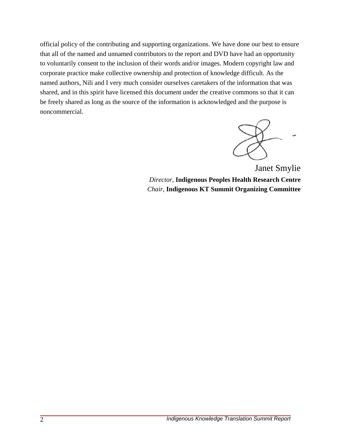official policy of the contributing and supporting organizations. We have done our best to ensure that all of the named and unnamed contributors to the report and DVD have had an opportunity to voluntarily consent to the inclusion of their words and/or images. Modern copyright law and corporate practice make collective ownership and protection of knowledge difficult. As the named authors, Nili and I very much consider ourselves caretakers of the information that was shared, and in this spirit have licensed this document under the creative commons so that it can be freely shared as long as the source of the information is acknowledged and the purpose is noncommercial.

 Janet Smylie *Director,* **Indigenous Peoples Health Research Centre**  *Chair,* **Indigenous KT Summit Organizing Committee**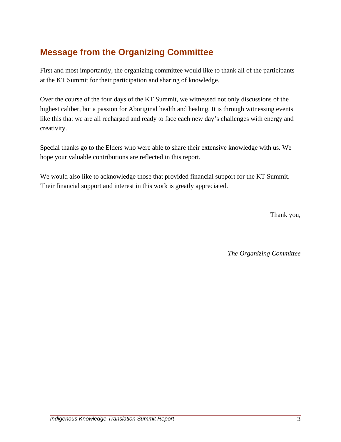# **Message from the Organizing Committee**

First and most importantly, the organizing committee would like to thank all of the participants at the KT Summit for their participation and sharing of knowledge.

Over the course of the four days of the KT Summit, we witnessed not only discussions of the highest caliber, but a passion for Aboriginal health and healing. It is through witnessing events like this that we are all recharged and ready to face each new day's challenges with energy and creativity.

Special thanks go to the Elders who were able to share their extensive knowledge with us. We hope your valuable contributions are reflected in this report.

We would also like to acknowledge those that provided financial support for the KT Summit. Their financial support and interest in this work is greatly appreciated.

Thank you,

*The Organizing Committee*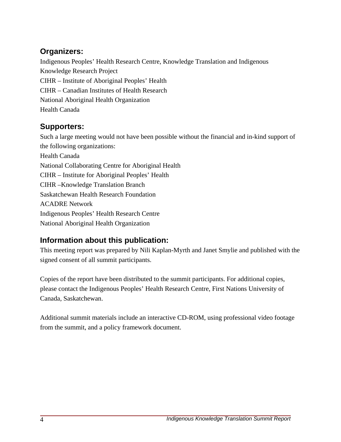### **Organizers:**

Indigenous Peoples' Health Research Centre, Knowledge Translation and Indigenous Knowledge Research Project CIHR – Institute of Aboriginal Peoples' Health CIHR – Canadian Institutes of Health Research National Aboriginal Health Organization Health Canada

# **Supporters:**

Such a large meeting would not have been possible without the financial and in-kind support of the following organizations: Health Canada National Collaborating Centre for Aboriginal Health CIHR – Institute for Aboriginal Peoples' Health CIHR –Knowledge Translation Branch Saskatchewan Health Research Foundation ACADRE Network Indigenous Peoples' Health Research Centre National Aboriginal Health Organization

# **Information about this publication:**

This meeting report was prepared by Nili Kaplan-Myrth and Janet Smylie and published with the signed consent of all summit participants.

Copies of the report have been distributed to the summit participants. For additional copies, please contact the Indigenous Peoples' Health Research Centre, First Nations University of Canada, Saskatchewan.

Additional summit materials include an interactive CD-ROM, using professional video footage from the summit, and a policy framework document.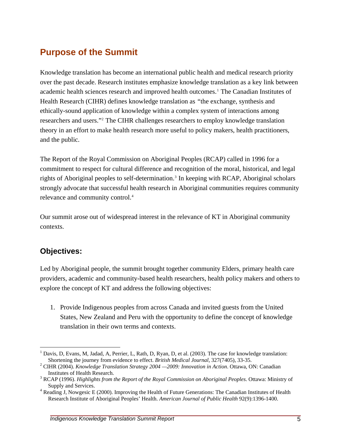# **Purpose of the Summit**

Knowledge translation has become an international public health and medical research priority over the past decade. Research institutes emphasize knowledge translation as a key link between academic health sciences research and improved health outcomes.<sup>[1](#page-10-0)</sup> The Canadian Institutes of Health Research (CIHR) defines knowledge translation as *"*the exchange, synthesis and ethically-sound application of knowledge within a complex system of interactions among researchers and users."[2](#page-10-1) The CIHR challenges researchers to employ knowledge translation theory in an effort to make health research more useful to policy makers, health practitioners, and the public.

The Report of the Royal Commission on Aboriginal Peoples (RCAP) called in 1996 for a commitment to respect for cultural difference and recognition of the moral, historical, and legal rights of Aboriginal peoples to self-determination.<sup>[3](#page-10-2)</sup> In keeping with RCAP, Aboriginal scholars strongly advocate that successful health research in Aboriginal communities requires community relevance and community control.<sup>4</sup>

Our summit arose out of widespread interest in the relevance of KT in Aboriginal community contexts.

#### **Objectives:**

 $\overline{a}$ 

Led by Aboriginal people, the summit brought together community Elders, primary health care providers, academic and community-based health researchers, health policy makers and others to explore the concept of KT and address the following objectives:

1. Provide Indigenous peoples from across Canada and invited guests from the United States, New Zealand and Peru with the opportunity to define the concept of knowledge translation in their own terms and contexts.

<span id="page-10-0"></span><sup>&</sup>lt;sup>1</sup> Davis, D, Evans, M, Jadad, A, Perrier, L, Rath, D, Ryan, D, et al. (2003). The case for knowledge translation: Shortening the journey from evidence to effect. *British Medical Journal*, 327(7405), 33-35. 2

<span id="page-10-1"></span>CIHR (2004). *Knowledge Translation Strategy 2004 —2009: Innovation in Action*. Ottawa, ON: Canadian Institutes of Health Research. 3

<span id="page-10-2"></span>RCAP (1996). *Highlights from the Report of the Royal Commission on Aboriginal Peoples*. Ottawa: Ministry of Supply and Services.

<span id="page-10-3"></span> $4$  Reading J, Nowgesic E (2000). Improving the Health of Future Generations: The Canadian Institutes of Health Research Institute of Aboriginal Peoples' Health. *American Journal of Public Health* 92(9):1396-1400.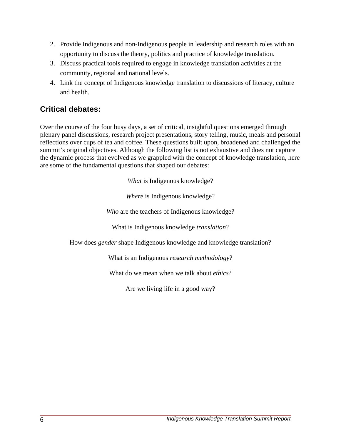- 2. Provide Indigenous and non-Indigenous people in leadership and research roles with an opportunity to discuss the theory, politics and practice of knowledge translation.
- 3. Discuss practical tools required to engage in knowledge translation activities at the community, regional and national levels.
- 4. Link the concept of Indigenous knowledge translation to discussions of literacy, culture and health.

### **Critical debates:**

Over the course of the four busy days, a set of critical, insightful questions emerged through plenary panel discussions, research project presentations, story telling, music, meals and personal reflections over cups of tea and coffee. These questions built upon, broadened and challenged the summit's original objectives. Although the following list is not exhaustive and does not capture the dynamic process that evolved as we grappled with the concept of knowledge translation, here are some of the fundamental questions that shaped our debates:

*What* is Indigenous knowledge?

*Where* is Indigenous knowledge?

*Who* are the teachers of Indigenous knowledge?

What is Indigenous knowledge *translation*?

How does *gender* shape Indigenous knowledge and knowledge translation?

What is an Indigenous *research methodology*?

What do we mean when we talk about *ethics*?

Are we living life in a good way?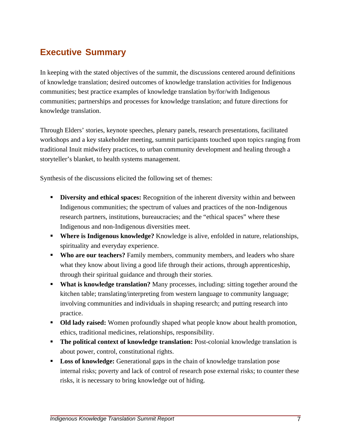# **Executive Summary**

In keeping with the stated objectives of the summit, the discussions centered around definitions of knowledge translation; desired outcomes of knowledge translation activities for Indigenous communities; best practice examples of knowledge translation by/for/with Indigenous communities; partnerships and processes for knowledge translation; and future directions for knowledge translation.

Through Elders' stories, keynote speeches, plenary panels, research presentations, facilitated workshops and a key stakeholder meeting, summit participants touched upon topics ranging from traditional Inuit midwifery practices, to urban community development and healing through a storyteller's blanket, to health systems management.

Synthesis of the discussions elicited the following set of themes:

- **Diversity and ethical spaces:** Recognition of the inherent diversity within and between Indigenous communities; the spectrum of values and practices of the non-Indigenous research partners, institutions, bureaucracies; and the "ethical spaces" where these Indigenous and non-Indigenous diversities meet.
- **Where is Indigenous knowledge?** Knowledge is alive, enfolded in nature, relationships, spirituality and everyday experience.
- **Who are our teachers?** Family members, community members, and leaders who share what they know about living a good life through their actions, through apprenticeship, through their spiritual guidance and through their stories.
- **What is knowledge translation?** Many processes, including: sitting together around the kitchen table; translating/interpreting from western language to community language; involving communities and individuals in shaping research; and putting research into practice.
- **Old lady raised:** Women profoundly shaped what people know about health promotion, ethics, traditional medicines, relationships, responsibility.
- **The political context of knowledge translation:** Post-colonial knowledge translation is about power, control, constitutional rights.
- **Loss of knowledge:** Generational gaps in the chain of knowledge translation pose internal risks; poverty and lack of control of research pose external risks; to counter these risks, it is necessary to bring knowledge out of hiding.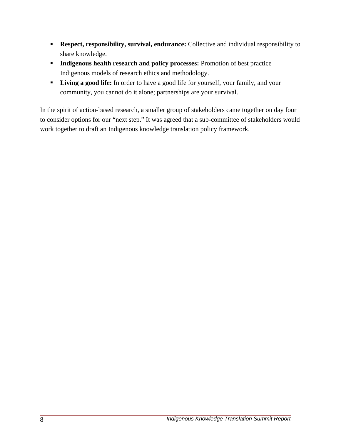- **Respect, responsibility, survival, endurance:** Collective and individual responsibility to share knowledge.
- **Indigenous health research and policy processes:** Promotion of best practice Indigenous models of research ethics and methodology.
- **Living a good life:** In order to have a good life for yourself, your family, and your community, you cannot do it alone; partnerships are your survival.

In the spirit of action-based research, a smaller group of stakeholders came together on day four to consider options for our "next step." It was agreed that a sub-committee of stakeholders would work together to draft an Indigenous knowledge translation policy framework.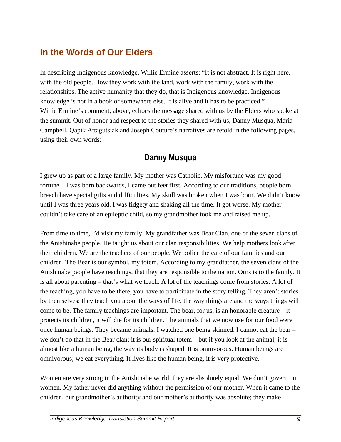# **In the Words of Our Elders**

In describing Indigenous knowledge, Willie Ermine asserts: "It is not abstract. It is right here, with the old people. How they work with the land, work with the family, work with the relationships. The active humanity that they do, that is Indigenous knowledge. Indigenous knowledge is not in a book or somewhere else. It is alive and it has to be practiced." Willie Ermine's comment, above, echoes the message shared with us by the Elders who spoke at the summit. Out of honor and respect to the stories they shared with us, Danny Musqua, Maria Campbell, Qapik Attagutsiak and Joseph Couture's narratives are retold in the following pages, using their own words:

# **Danny Musqua**

I grew up as part of a large family. My mother was Catholic. My misfortune was my good fortune – I was born backwards, I came out feet first. According to our traditions, people born breech have special gifts and difficulties. My skull was broken when I was born. We didn't know until I was three years old. I was fidgety and shaking all the time. It got worse. My mother couldn't take care of an epileptic child, so my grandmother took me and raised me up.

From time to time, I'd visit my family. My grandfather was Bear Clan, one of the seven clans of the Anishinabe people. He taught us about our clan responsibilities. We help mothers look after their children. We are the teachers of our people. We police the care of our families and our children. The Bear is our symbol, my totem. According to my grandfather, the seven clans of the Anishinabe people have teachings, that they are responsible to the nation. Ours is to the family. It is all about parenting – that's what we teach. A lot of the teachings come from stories. A lot of the teaching, you have to be there, you have to participate in the story telling. They aren't stories by themselves; they teach you about the ways of life, the way things are and the ways things will come to be. The family teachings are important. The bear, for us, is an honorable creature  $-$  it protects its children, it will die for its children. The animals that we now use for our food were once human beings. They became animals. I watched one being skinned. I cannot eat the bear – we don't do that in the Bear clan; it is our spiritual totem – but if you look at the animal, it is almost like a human being, the way its body is shaped. It is omnivorous. Human beings are omnivorous; we eat everything. It lives like the human being, it is very protective.

Women are very strong in the Anishinabe world; they are absolutely equal. We don't govern our women. My father never did anything without the permission of our mother. When it came to the children, our grandmother's authority and our mother's authority was absolute; they make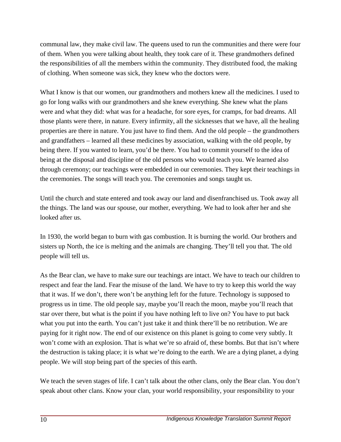communal law, they make civil law. The queens used to run the communities and there were four of them. When you were talking about health, they took care of it. These grandmothers defined the responsibilities of all the members within the community. They distributed food, the making of clothing. When someone was sick, they knew who the doctors were.

What I know is that our women, our grandmothers and mothers knew all the medicines. I used to go for long walks with our grandmothers and she knew everything. She knew what the plans were and what they did: what was for a headache, for sore eyes, for cramps, for bad dreams. All those plants were there, in nature. Every infirmity, all the sicknesses that we have, all the healing properties are there in nature. You just have to find them. And the old people – the grandmothers and grandfathers – learned all these medicines by association, walking with the old people, by being there. If you wanted to learn, you'd be there. You had to commit yourself to the idea of being at the disposal and discipline of the old persons who would teach you. We learned also through ceremony; our teachings were embedded in our ceremonies. They kept their teachings in the ceremonies. The songs will teach you. The ceremonies and songs taught us.

Until the church and state entered and took away our land and disenfranchised us. Took away all the things. The land was our spouse, our mother, everything. We had to look after her and she looked after us.

In 1930, the world began to burn with gas combustion. It is burning the world. Our brothers and sisters up North, the ice is melting and the animals are changing. They'll tell you that. The old people will tell us.

As the Bear clan, we have to make sure our teachings are intact. We have to teach our children to respect and fear the land. Fear the misuse of the land. We have to try to keep this world the way that it was. If we don't, there won't be anything left for the future. Technology is supposed to progress us in time. The old people say, maybe you'll reach the moon, maybe you'll reach that star over there, but what is the point if you have nothing left to live on? You have to put back what you put into the earth. You can't just take it and think there'll be no retribution. We are paying for it right now. The end of our existence on this planet is going to come very subtly. It won't come with an explosion. That is what we're so afraid of, these bombs. But that isn't where the destruction is taking place; it is what we're doing to the earth. We are a dying planet, a dying people. We will stop being part of the species of this earth.

We teach the seven stages of life. I can't talk about the other clans, only the Bear clan. You don't speak about other clans. Know your clan, your world responsibility, your responsibility to your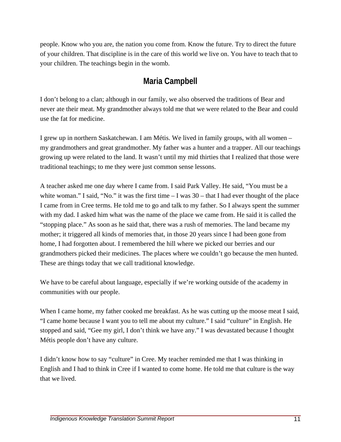people. Know who you are, the nation you come from. Know the future. Try to direct the future of your children. That discipline is in the care of this world we live on. You have to teach that to your children. The teachings begin in the womb.

# **Maria Campbell**

I don't belong to a clan; although in our family, we also observed the traditions of Bear and never ate their meat. My grandmother always told me that we were related to the Bear and could use the fat for medicine.

I grew up in northern Saskatchewan. I am Métis. We lived in family groups, with all women – my grandmothers and great grandmother. My father was a hunter and a trapper. All our teachings growing up were related to the land. It wasn't until my mid thirties that I realized that those were traditional teachings; to me they were just common sense lessons.

A teacher asked me one day where I came from. I said Park Valley. He said, "You must be a white woman." I said, "No." it was the first time  $-1$  was  $30$  – that I had ever thought of the place I came from in Cree terms. He told me to go and talk to my father. So I always spent the summer with my dad. I asked him what was the name of the place we came from. He said it is called the "stopping place." As soon as he said that, there was a rush of memories. The land became my mother; it triggered all kinds of memories that, in those 20 years since I had been gone from home, I had forgotten about. I remembered the hill where we picked our berries and our grandmothers picked their medicines. The places where we couldn't go because the men hunted. These are things today that we call traditional knowledge.

We have to be careful about language, especially if we're working outside of the academy in communities with our people.

When I came home, my father cooked me breakfast. As he was cutting up the moose meat I said, "I came home because I want you to tell me about my culture." I said "culture" in English. He stopped and said, "Gee my girl, I don't think we have any." I was devastated because I thought Métis people don't have any culture.

I didn't know how to say "culture" in Cree. My teacher reminded me that I was thinking in English and I had to think in Cree if I wanted to come home. He told me that culture is the way that we lived.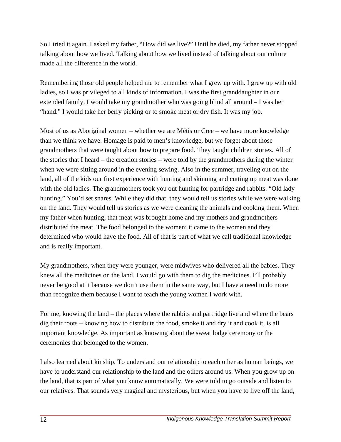So I tried it again. I asked my father, "How did we live?" Until he died, my father never stopped talking about how we lived. Talking about how we lived instead of talking about our culture made all the difference in the world.

Remembering those old people helped me to remember what I grew up with. I grew up with old ladies, so I was privileged to all kinds of information. I was the first granddaughter in our extended family. I would take my grandmother who was going blind all around – I was her "hand." I would take her berry picking or to smoke meat or dry fish. It was my job.

Most of us as Aboriginal women – whether we are Métis or Cree – we have more knowledge than we think we have. Homage is paid to men's knowledge, but we forget about those grandmothers that were taught about how to prepare food. They taught children stories. All of the stories that I heard – the creation stories – were told by the grandmothers during the winter when we were sitting around in the evening sewing. Also in the summer, traveling out on the land, all of the kids our first experience with hunting and skinning and cutting up meat was done with the old ladies. The grandmothers took you out hunting for partridge and rabbits. "Old lady hunting." You'd set snares. While they did that, they would tell us stories while we were walking on the land. They would tell us stories as we were cleaning the animals and cooking them. When my father when hunting, that meat was brought home and my mothers and grandmothers distributed the meat. The food belonged to the women; it came to the women and they determined who would have the food. All of that is part of what we call traditional knowledge and is really important.

My grandmothers, when they were younger, were midwives who delivered all the babies. They knew all the medicines on the land. I would go with them to dig the medicines. I'll probably never be good at it because we don't use them in the same way, but I have a need to do more than recognize them because I want to teach the young women I work with.

For me, knowing the land – the places where the rabbits and partridge live and where the bears dig their roots – knowing how to distribute the food, smoke it and dry it and cook it, is all important knowledge. As important as knowing about the sweat lodge ceremony or the ceremonies that belonged to the women.

I also learned about kinship. To understand our relationship to each other as human beings, we have to understand our relationship to the land and the others around us. When you grow up on the land, that is part of what you know automatically. We were told to go outside and listen to our relatives. That sounds very magical and mysterious, but when you have to live off the land,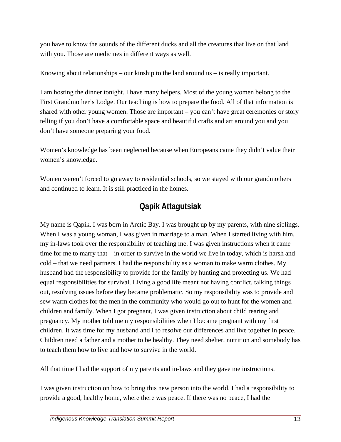you have to know the sounds of the different ducks and all the creatures that live on that land with you. Those are medicines in different ways as well.

Knowing about relationships – our kinship to the land around us – is really important.

I am hosting the dinner tonight. I have many helpers. Most of the young women belong to the First Grandmother's Lodge. Our teaching is how to prepare the food. All of that information is shared with other young women. Those are important – you can't have great ceremonies or story telling if you don't have a comfortable space and beautiful crafts and art around you and you don't have someone preparing your food.

Women's knowledge has been neglected because when Europeans came they didn't value their women's knowledge.

Women weren't forced to go away to residential schools, so we stayed with our grandmothers and continued to learn. It is still practiced in the homes.

# **Qapik Attagutsiak**

My name is Qapik. I was born in Arctic Bay. I was brought up by my parents, with nine siblings. When I was a young woman, I was given in marriage to a man. When I started living with him, my in-laws took over the responsibility of teaching me. I was given instructions when it came time for me to marry that – in order to survive in the world we live in today, which is harsh and cold – that we need partners. I had the responsibility as a woman to make warm clothes. My husband had the responsibility to provide for the family by hunting and protecting us. We had equal responsibilities for survival. Living a good life meant not having conflict, talking things out, resolving issues before they became problematic. So my responsibility was to provide and sew warm clothes for the men in the community who would go out to hunt for the women and children and family. When I got pregnant, I was given instruction about child rearing and pregnancy. My mother told me my responsibilities when I became pregnant with my first children. It was time for my husband and I to resolve our differences and live together in peace. Children need a father and a mother to be healthy. They need shelter, nutrition and somebody has to teach them how to live and how to survive in the world.

All that time I had the support of my parents and in-laws and they gave me instructions.

I was given instruction on how to bring this new person into the world. I had a responsibility to provide a good, healthy home, where there was peace. If there was no peace, I had the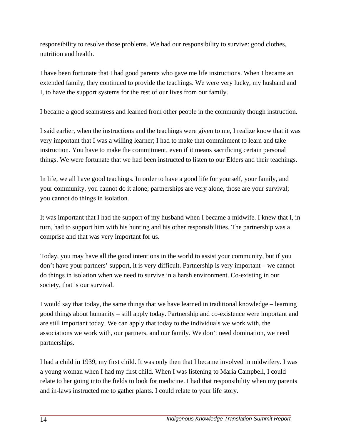responsibility to resolve those problems. We had our responsibility to survive: good clothes, nutrition and health.

I have been fortunate that I had good parents who gave me life instructions. When I became an extended family, they continued to provide the teachings. We were very lucky, my husband and I, to have the support systems for the rest of our lives from our family.

I became a good seamstress and learned from other people in the community though instruction.

I said earlier, when the instructions and the teachings were given to me, I realize know that it was very important that I was a willing learner; I had to make that commitment to learn and take instruction. You have to make the commitment, even if it means sacrificing certain personal things. We were fortunate that we had been instructed to listen to our Elders and their teachings.

In life, we all have good teachings. In order to have a good life for yourself, your family, and your community, you cannot do it alone; partnerships are very alone, those are your survival; you cannot do things in isolation.

It was important that I had the support of my husband when I became a midwife. I knew that I, in turn, had to support him with his hunting and his other responsibilities. The partnership was a comprise and that was very important for us.

Today, you may have all the good intentions in the world to assist your community, but if you don't have your partners' support, it is very difficult. Partnership is very important – we cannot do things in isolation when we need to survive in a harsh environment. Co-existing in our society, that is our survival.

I would say that today, the same things that we have learned in traditional knowledge – learning good things about humanity – still apply today. Partnership and co-existence were important and are still important today. We can apply that today to the individuals we work with, the associations we work with, our partners, and our family. We don't need domination, we need partnerships.

I had a child in 1939, my first child. It was only then that I became involved in midwifery. I was a young woman when I had my first child. When I was listening to Maria Campbell, I could relate to her going into the fields to look for medicine. I had that responsibility when my parents and in-laws instructed me to gather plants. I could relate to your life story.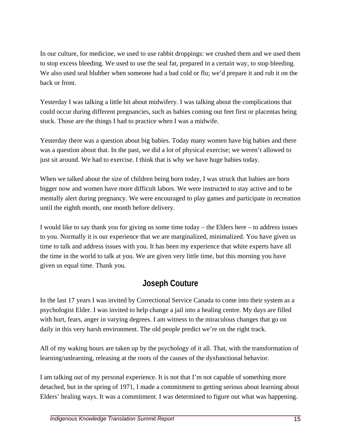In our culture, for medicine, we used to use rabbit droppings: we crushed them and we used them to stop excess bleeding. We used to use the seal fat, prepared in a certain way, to stop bleeding. We also used seal blubber when someone had a bad cold or flu; we'd prepare it and rub it on the back or front.

Yesterday I was talking a little bit about midwifery. I was talking about the complications that could occur during different pregnancies, such as babies coming out feet first or placentas being stuck. Those are the things I had to practice when I was a midwife.

Yesterday there was a question about big babies. Today many women have big babies and there was a question about that. In the past, we did a lot of physical exercise; we weren't allowed to just sit around. We had to exercise. I think that is why we have huge babies today.

When we talked about the size of children being born today, I was struck that babies are born bigger now and women have more difficult labors. We were instructed to stay active and to be mentally alert during pregnancy. We were encouraged to play games and participate in recreation until the eighth month, one month before delivery.

I would like to say thank you for giving us some time today – the Elders here – to address issues to you. Normally it is our experience that we are marginalized, minimalized. You have given us time to talk and address issues with you. It has been my experience that white experts have all the time in the world to talk at you. We are given very little time, but this morning you have given us equal time. Thank you.

# **Joseph Couture**

In the last 17 years I was invited by Correctional Service Canada to come into their system as a psychologist Elder. I was invited to help change a jail into a healing centre. My days are filled with hurt, fears, anger in varying degrees. I am witness to the miraculous changes that go on daily in this very harsh environment. The old people predict we're on the right track.

All of my waking hours are taken up by the psychology of it all. That, with the transformation of learning/unlearning, releasing at the roots of the causes of the dysfunctional behavior.

I am talking out of my personal experience. It is not that I'm not capable of something more detached, but in the spring of 1971, I made a commitment to getting serious about learning about Elders' healing ways. It was a commitment. I was determined to figure out what was happening.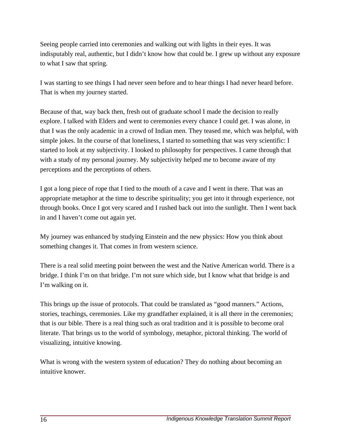Seeing people carried into ceremonies and walking out with lights in their eyes. It was indisputably real, authentic, but I didn't know how that could be. I grew up without any exposure to what I saw that spring.

I was starting to see things I had never seen before and to hear things I had never heard before. That is when my journey started.

Because of that, way back then, fresh out of graduate school I made the decision to really explore. I talked with Elders and went to ceremonies every chance I could get. I was alone, in that I was the only academic in a crowd of Indian men. They teased me, which was helpful, with simple jokes. In the course of that loneliness, I started to something that was very scientific: I started to look at my subjectivity. I looked to philosophy for perspectives. I came through that with a study of my personal journey. My subjectivity helped me to become aware of my perceptions and the perceptions of others.

I got a long piece of rope that I tied to the mouth of a cave and I went in there. That was an appropriate metaphor at the time to describe spirituality; you get into it through experience, not through books. Once I got very scared and I rushed back out into the sunlight. Then I went back in and I haven't come out again yet.

My journey was enhanced by studying Einstein and the new physics: How you think about something changes it. That comes in from western science.

There is a real solid meeting point between the west and the Native American world. There is a bridge. I think I'm on that bridge. I'm not sure which side, but I know what that bridge is and I'm walking on it.

This brings up the issue of protocols. That could be translated as "good manners." Actions, stories, teachings, ceremonies. Like my grandfather explained, it is all there in the ceremonies; that is our bible. There is a real thing such as oral tradition and it is possible to become oral literate. That brings us to the world of symbology, metaphor, pictoral thinking. The world of visualizing, intuitive knowing.

What is wrong with the western system of education? They do nothing about becoming an intuitive knower.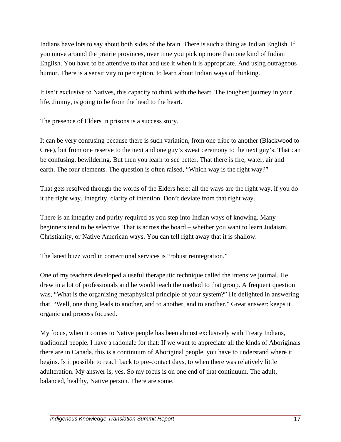Indians have lots to say about both sides of the brain. There is such a thing as Indian English. If you move around the prairie provinces, over time you pick up more than one kind of Indian English. You have to be attentive to that and use it when it is appropriate. And using outrageous humor. There is a sensitivity to perception, to learn about Indian ways of thinking.

It isn't exclusive to Natives, this capacity to think with the heart. The toughest journey in your life, Jimmy, is going to be from the head to the heart.

The presence of Elders in prisons is a success story.

It can be very confusing because there is such variation, from one tribe to another (Blackwood to Cree), but from one reserve to the next and one guy's sweat ceremony to the next guy's. That can be confusing, bewildering. But then you learn to see better. That there is fire, water, air and earth. The four elements. The question is often raised, "Which way is the right way?"

That gets resolved through the words of the Elders here: all the ways are the right way, if you do it the right way. Integrity, clarity of intention. Don't deviate from that right way.

There is an integrity and purity required as you step into Indian ways of knowing. Many beginners tend to be selective. That is across the board – whether you want to learn Judaism, Christianity, or Native American ways. You can tell right away that it is shallow.

The latest buzz word in correctional services is "robust reintegration."

One of my teachers developed a useful therapeutic technique called the intensive journal. He drew in a lot of professionals and he would teach the method to that group. A frequent question was, "What is the organizing metaphysical principle of your system?" He delighted in answering that. "Well, one thing leads to another, and to another, and to another." Great answer: keeps it organic and process focused.

My focus, when it comes to Native people has been almost exclusively with Treaty Indians, traditional people. I have a rationale for that: If we want to appreciate all the kinds of Aboriginals there are in Canada, this is a continuum of Aboriginal people, you have to understand where it begins. Is it possible to reach back to pre-contact days, to when there was relatively little adulteration. My answer is, yes. So my focus is on one end of that continuum. The adult, balanced, healthy, Native person. There are some.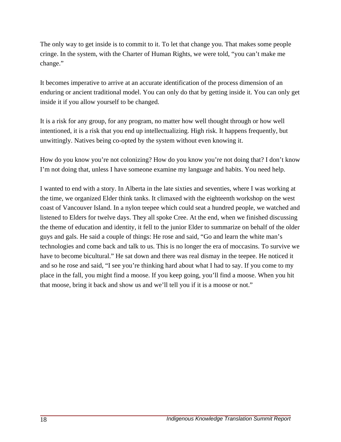The only way to get inside is to commit to it. To let that change you. That makes some people cringe. In the system, with the Charter of Human Rights, we were told, "you can't make me change."

It becomes imperative to arrive at an accurate identification of the process dimension of an enduring or ancient traditional model. You can only do that by getting inside it. You can only get inside it if you allow yourself to be changed.

It is a risk for any group, for any program, no matter how well thought through or how well intentioned, it is a risk that you end up intellectualizing. High risk. It happens frequently, but unwittingly. Natives being co-opted by the system without even knowing it.

How do you know you're not colonizing? How do you know you're not doing that? I don't know I'm not doing that, unless I have someone examine my language and habits. You need help.

I wanted to end with a story. In Alberta in the late sixties and seventies, where I was working at the time, we organized Elder think tanks. It climaxed with the eighteenth workshop on the west coast of Vancouver Island. In a nylon teepee which could seat a hundred people, we watched and listened to Elders for twelve days. They all spoke Cree. At the end, when we finished discussing the theme of education and identity, it fell to the junior Elder to summarize on behalf of the older guys and gals. He said a couple of things: He rose and said, "Go and learn the white man's technologies and come back and talk to us. This is no longer the era of moccasins. To survive we have to become bicultural." He sat down and there was real dismay in the teepee. He noticed it and so he rose and said, "I see you're thinking hard about what I had to say. If you come to my place in the fall, you might find a moose. If you keep going, you'll find a moose. When you hit that moose, bring it back and show us and we'll tell you if it is a moose or not."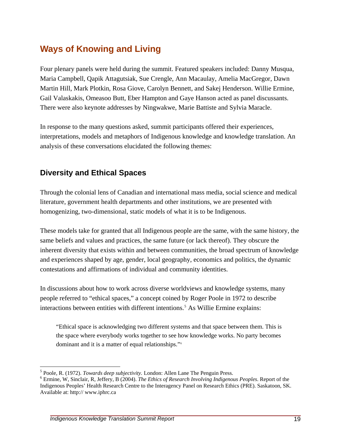# **Ways of Knowing and Living**

Four plenary panels were held during the summit. Featured speakers included: Danny Musqua, Maria Campbell, Qapik Attagutsiak, Sue Crengle, Ann Macaulay, Amelia MacGregor, Dawn Martin Hill, Mark Plotkin, Rosa Giove, Carolyn Bennett, and Sakej Henderson. Willie Ermine, Gail Valaskakis, Omeasoo Butt, Eber Hampton and Gaye Hanson acted as panel discussants. There were also keynote addresses by Ningwakwe, Marie Battiste and Sylvia Maracle.

In response to the many questions asked, summit participants offered their experiences, interpretations, models and metaphors of Indigenous knowledge and knowledge translation. An analysis of these conversations elucidated the following themes:

#### **Diversity and Ethical Spaces**

Through the colonial lens of Canadian and international mass media, social science and medical literature, government health departments and other institutions, we are presented with homogenizing, two-dimensional, static models of what it is to be Indigenous.

These models take for granted that all Indigenous people are the same, with the same history, the same beliefs and values and practices, the same future (or lack thereof). They obscure the inherent diversity that exists within and between communities, the broad spectrum of knowledge and experiences shaped by age, gender, local geography, economics and politics, the dynamic contestations and affirmations of individual and community identities.

In discussions about how to work across diverse worldviews and knowledge systems, many people referred to "ethical spaces," a concept coined by Roger Poole in 1972 to describe interactions between entities with different intentions.<sup>[5](#page-24-0)</sup> As Willie Ermine explains:

"Ethical space is acknowledging two different systems and that space between them. This is the space where everybody works together to see how knowledge works. No party becomes dominant and it is a matter of equal relationships."[6](#page-24-1)

 $\overline{a}$ 

<sup>&</sup>lt;sup>5</sup> Poole, R. (1972). *Towards deep subjectivity*. London: Allen Lane The Penguin Press.<br><sup>6</sup> Ermine, W. Singleir, B. Joffery, B. (2004). *The Ethics of Bessensh Involving Indiagnos* 

<span id="page-24-1"></span><span id="page-24-0"></span>Ermine, W, Sinclair, R, Jeffery, B (2004). *The Ethics of Research Involving Indigenous Peoples*. Report of the Indigenous Peoples' Health Research Centre to the Interagency Panel on Research Ethics (PRE). Saskatoon, SK. Available at: <http://>www.iphrc.ca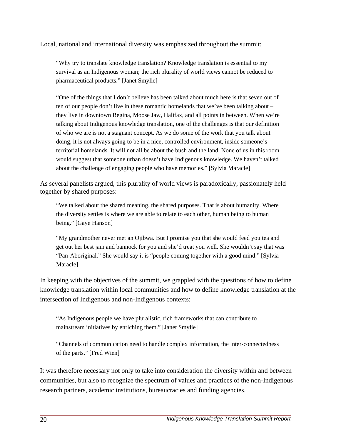Local, national and international diversity was emphasized throughout the summit:

"Why try to translate knowledge translation? Knowledge translation is essential to my survival as an Indigenous woman; the rich plurality of world views cannot be reduced to pharmaceutical products." [Janet Smylie]

"One of the things that I don't believe has been talked about much here is that seven out of ten of our people don't live in these romantic homelands that we've been talking about – they live in downtown Regina, Moose Jaw, Halifax, and all points in between. When we're talking about Indigenous knowledge translation, one of the challenges is that our definition of who we are is not a stagnant concept. As we do some of the work that you talk about doing, it is not always going to be in a nice, controlled environment, inside someone's territorial homelands. It will not all be about the bush and the land. None of us in this room would suggest that someone urban doesn't have Indigenous knowledge. We haven't talked about the challenge of engaging people who have memories." [Sylvia Maracle]

As several panelists argued, this plurality of world views is paradoxically, passionately held together by shared purposes:

"We talked about the shared meaning, the shared purposes. That is about humanity. Where the diversity settles is where we are able to relate to each other, human being to human being." [Gaye Hanson]

"My grandmother never met an Ojibwa. But I promise you that she would feed you tea and get out her best jam and bannock for you and she'd treat you well. She wouldn't say that was "Pan-Aboriginal." She would say it is "people coming together with a good mind." [Sylvia Maracle]

In keeping with the objectives of the summit, we grappled with the questions of how to define knowledge translation within local communities and how to define knowledge translation at the intersection of Indigenous and non-Indigenous contexts:

"As Indigenous people we have pluralistic, rich frameworks that can contribute to mainstream initiatives by enriching them." [Janet Smylie]

"Channels of communication need to handle complex information, the inter-connectedness of the parts." [Fred Wien]

It was therefore necessary not only to take into consideration the diversity within and between communities, but also to recognize the spectrum of values and practices of the non-Indigenous research partners, academic institutions, bureaucracies and funding agencies.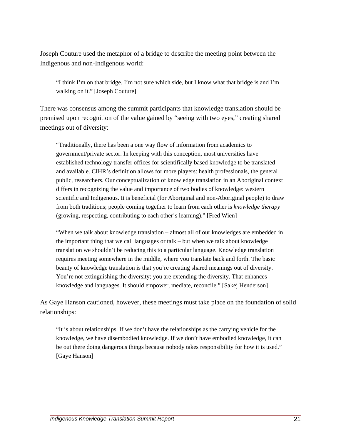Joseph Couture used the metaphor of a bridge to describe the meeting point between the Indigenous and non-Indigenous world:

"I think I'm on that bridge. I'm not sure which side, but I know what that bridge is and I'm walking on it." [Joseph Couture]

There was consensus among the summit participants that knowledge translation should be premised upon recognition of the value gained by "seeing with two eyes," creating shared meetings out of diversity:

"Traditionally, there has been a one way flow of information from academics to government/private sector. In keeping with this conception, most universities have established technology transfer offices for scientifically based knowledge to be translated and available. CIHR's definition allows for more players: health professionals, the general public, researchers. Our conceptualization of knowledge translation in an Aboriginal context differs in recognizing the value and importance of two bodies of knowledge: western scientific and Indigenous. It is beneficial (for Aboriginal and non-Aboriginal people) to draw from both traditions; people coming together to learn from each other is *knowledge therapy* (growing, respecting, contributing to each other's learning)." [Fred Wien]

"When we talk about knowledge translation – almost all of our knowledges are embedded in the important thing that we call languages or talk – but when we talk about knowledge translation we shouldn't be reducing this to a particular language. Knowledge translation requires meeting somewhere in the middle, where you translate back and forth. The basic beauty of knowledge translation is that you're creating shared meanings out of diversity. You're not extinguishing the diversity; you are extending the diversity. That enhances knowledge and languages. It should empower, mediate, reconcile." [Sakej Henderson]

As Gaye Hanson cautioned, however, these meetings must take place on the foundation of solid relationships:

"It is about relationships. If we don't have the relationships as the carrying vehicle for the knowledge, we have disembodied knowledge. If we don't have embodied knowledge, it can be out there doing dangerous things because nobody takes responsibility for how it is used." [Gaye Hanson]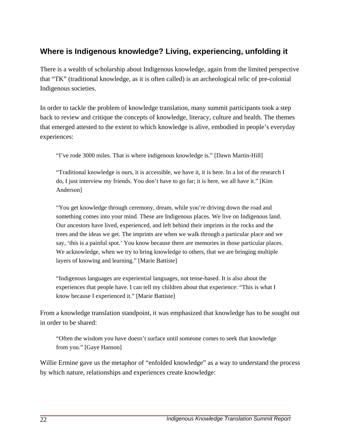### **Where is Indigenous knowledge? Living, experiencing, unfolding it**

There is a wealth of scholarship about Indigenous knowledge, again from the limited perspective that "TK" (traditional knowledge, as it is often called) is an archeological relic of pre-colonial Indigenous societies.

In order to tackle the problem of knowledge translation, many summit participants took a step back to review and critique the concepts of knowledge, literacy, culture and health. The themes that emerged attested to the extent to which knowledge is alive, embodied in people's everyday experiences:

"I've rode 3000 miles. That is where indigenous knowledge is." [Dawn Martin-Hill]

"Traditional knowledge is ours, it is accessible, we have it, it is here. In a lot of the research I do, I just interview my friends. You don't have to go far; it is here, we all have it." [Kim Anderson]

"You get knowledge through ceremony, dream, while you're driving down the road and something comes into your mind. These are Indigenous places. We live on Indigenous land. Our ancestors have lived, experienced, and left behind their imprints in the rocks and the trees and the ideas we get. The imprints are when we walk through a particular place and we say, 'this is a painful spot.' You know because there are memories in those particular places. We acknowledge, when we try to bring knowledge to others, that we are bringing multiple layers of knowing and learning." [Marie Battiste]

"Indigenous languages are experiential languages, not tense-based. It is also about the experiences that people have. I can tell my children about that experience: "This is what I know because I experienced it." [Marie Battiste]

From a knowledge translation standpoint, it was emphasized that knowledge has to be sought out in order to be shared:

"Often the wisdom you have doesn't surface until someone comes to seek that knowledge from you." [Gaye Hanson]

Willie Ermine gave us the metaphor of "enfolded knowledge" as a way to understand the process by which nature, relationships and experiences create knowledge: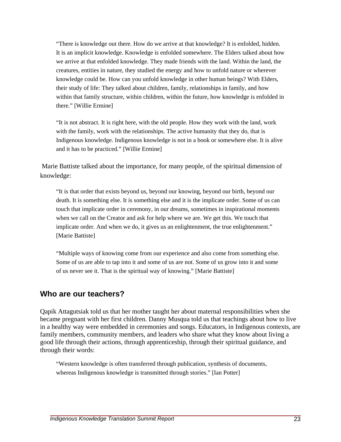"There is knowledge out there. How do we arrive at that knowledge? It is enfolded, hidden. It is an implicit knowledge. Knowledge is enfolded somewhere. The Elders talked about how we arrive at that enfolded knowledge. They made friends with the land. Within the land, the creatures, entities in nature, they studied the energy and how to unfold nature or wherever knowledge could be. How can you unfold knowledge in other human beings? With Elders, their study of life: They talked about children, family, relationships in family, and how within that family structure, within children, within the future, how knowledge is enfolded in there." [Willie Ermine]

"It is not abstract. It is right here, with the old people. How they work with the land, work with the family, work with the relationships. The active humanity that they do, that is Indigenous knowledge. Indigenous knowledge is not in a book or somewhere else. It is alive and it has to be practiced." [Willie Ermine]

 Marie Battiste talked about the importance, for many people, of the spiritual dimension of knowledge:

"It is that order that exists beyond us, beyond our knowing, beyond our birth, beyond our death. It is something else. It is something else and it is the implicate order. Some of us can touch that implicate order in ceremony, in our dreams, sometimes in inspirational moments when we call on the Creator and ask for help where we are. We get this. We touch that implicate order. And when we do, it gives us an enlightenment, the true enlightenment." [Marie Battiste]

"Multiple ways of knowing come from our experience and also come from something else. Some of us are able to tap into it and some of us are not. Some of us grow into it and some of us never see it. That is the spiritual way of knowing." [Marie Battiste]

#### **Who are our teachers?**

Qapik Attagutsiak told us that her mother taught her about maternal responsibilities when she became pregnant with her first children. Danny Musqua told us that teachings about how to live in a healthy way were embedded in ceremonies and songs. Educators, in Indigenous contexts, are family members, community members, and leaders who share what they know about living a good life through their actions, through apprenticeship, through their spiritual guidance, and through their words:

"Western knowledge is often transferred through publication, synthesis of documents, whereas Indigenous knowledge is transmitted through stories." [Ian Potter]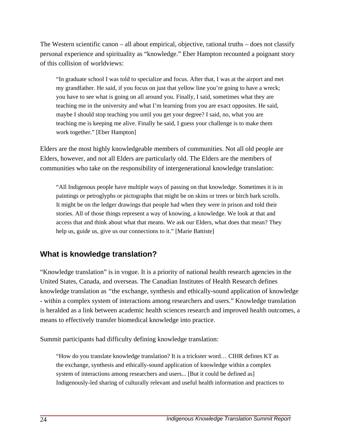The Western scientific canon – all about empirical, objective, rational truths – does not classify personal experience and spirituality as "knowledge." Eber Hampton recounted a poignant story of this collision of worldviews:

"In graduate school I was told to specialize and focus. After that, I was at the airport and met my grandfather. He said, if you focus on just that yellow line you're going to have a wreck; you have to see what is going on all around you. Finally, I said, sometimes what they are teaching me in the university and what I'm learning from you are exact opposites. He said, maybe I should stop teaching you until you get your degree? I said, no, what you are teaching me is keeping me alive. Finally he said, I guess your challenge is to make them work together." [Eber Hampton]

Elders are the most highly knowledgeable members of communities. Not all old people are Elders, however, and not all Elders are particularly old. The Elders are the members of communities who take on the responsibility of intergenerational knowledge translation:

"All Indigenous people have multiple ways of passing on that knowledge. Sometimes it is in paintings or petroglyphs or pictographs that might be on skins or trees or birch bark scrolls. It might be on the ledger drawings that people had when they were in prison and told their stories. All of those things represent a way of knowing, a knowledge. We look at that and access that and think about what that means. We ask our Elders, what does that mean? They help us, guide us, give us our connections to it." [Marie Battiste]

#### **What is knowledge translation?**

"Knowledge translation" is in vogue. It is a priority of national health research agencies in the United States, Canada, and overseas. The Canadian Institutes of Health Research defines knowledge translation as *"*the exchange, synthesis and ethically-sound application of knowledge - within a complex system of interactions among researchers and users." Knowledge translation is heralded as a link between academic health sciences research and improved health outcomes, a means to effectively transfer biomedical knowledge into practice.

Summit participants had difficulty defining knowledge translation:

"How do you translate knowledge translation? It is a trickster word… CIHR defines KT as the exchange, synthesis and ethically-sound application of knowledge within a complex system of interactions among researchers and users... [But it could be defined as] Indigenously-led sharing of culturally relevant and useful health information and practices to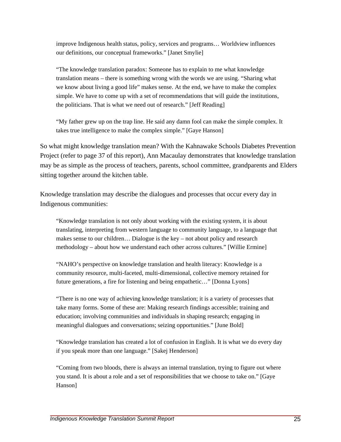improve Indigenous health status, policy, services and programs… Worldview influences our definitions, our conceptual frameworks." [Janet Smylie]

"The knowledge translation paradox: Someone has to explain to me what knowledge translation means – there is something wrong with the words we are using. "Sharing what we know about living a good life" makes sense. At the end, we have to make the complex simple. We have to come up with a set of recommendations that will guide the institutions, the politicians. That is what we need out of research." [Jeff Reading]

"My father grew up on the trap line. He said any damn fool can make the simple complex. It takes true intelligence to make the complex simple." [Gaye Hanson]

So what might knowledge translation mean? With the Kahnawake Schools Diabetes Prevention Project (refer to page 37 of this report), Ann Macaulay demonstrates that knowledge translation may be as simple as the process of teachers, parents, school committee, grandparents and Elders sitting together around the kitchen table.

Knowledge translation may describe the dialogues and processes that occur every day in Indigenous communities:

"Knowledge translation is not only about working with the existing system, it is about translating, interpreting from western language to community language, to a language that makes sense to our children… Dialogue is the key – not about policy and research methodology – about how we understand each other across cultures." [Willie Ermine]

"NAHO's perspective on knowledge translation and health literacy: Knowledge is a community resource, multi-faceted, multi-dimensional, collective memory retained for future generations, a fire for listening and being empathetic…" [Donna Lyons]

"There is no one way of achieving knowledge translation; it is a variety of processes that take many forms. Some of these are: Making research findings accessible; training and education; involving communities and individuals in shaping research; engaging in meaningful dialogues and conversations; seizing opportunities." [June Bold]

"Knowledge translation has created a lot of confusion in English. It is what we do every day if you speak more than one language." [Sakej Henderson]

"Coming from two bloods, there is always an internal translation, trying to figure out where you stand. It is about a role and a set of responsibilities that we choose to take on." [Gaye Hanson]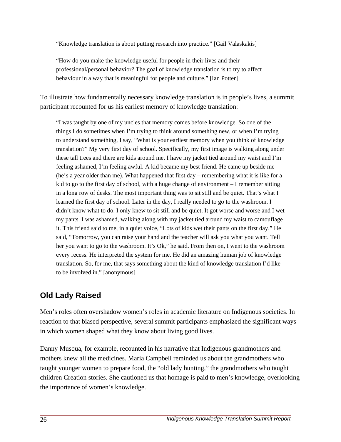"Knowledge translation is about putting research into practice." [Gail Valaskakis]

"How do you make the knowledge useful for people in their lives and their professional/personal behavior? The goal of knowledge translation is to try to affect behaviour in a way that is meaningful for people and culture." [Ian Potter]

To illustrate how fundamentally necessary knowledge translation is in people's lives, a summit participant recounted for us his earliest memory of knowledge translation:

"I was taught by one of my uncles that memory comes before knowledge. So one of the things I do sometimes when I'm trying to think around something new, or when I'm trying to understand something, I say, "What is your earliest memory when you think of knowledge translation?" My very first day of school. Specifically, my first image is walking along under these tall trees and there are kids around me. I have my jacket tied around my waist and I'm feeling ashamed, I'm feeling awful. A kid became my best friend. He came up beside me (he's a year older than me). What happened that first day – remembering what it is like for a kid to go to the first day of school, with a huge change of environment – I remember sitting in a long row of desks. The most important thing was to sit still and be quiet. That's what I learned the first day of school. Later in the day, I really needed to go to the washroom. I didn't know what to do. I only knew to sit still and be quiet. It got worse and worse and I wet my pants. I was ashamed, walking along with my jacket tied around my waist to camouflage it. This friend said to me, in a quiet voice, "Lots of kids wet their pants on the first day." He said, "Tomorrow, you can raise your hand and the teacher will ask you what you want. Tell her you want to go to the washroom. It's Ok," he said. From then on, I went to the washroom every recess. He interpreted the system for me. He did an amazing human job of knowledge translation. So, for me, that says something about the kind of knowledge translation I'd like to be involved in." [anonymous]

### **Old Lady Raised**

Men's roles often overshadow women's roles in academic literature on Indigenous societies. In reaction to that biased perspective, several summit participants emphasized the significant ways in which women shaped what they know about living good lives.

Danny Musqua, for example, recounted in his narrative that Indigenous grandmothers and mothers knew all the medicines. Maria Campbell reminded us about the grandmothers who taught younger women to prepare food, the "old lady hunting," the grandmothers who taught children Creation stories. She cautioned us that homage is paid to men's knowledge, overlooking the importance of women's knowledge.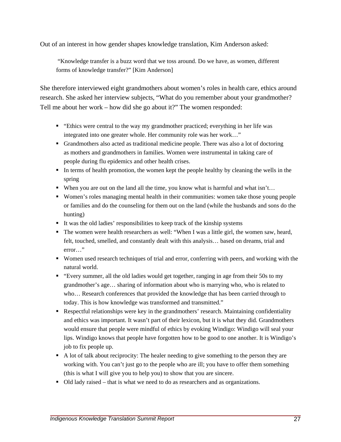Out of an interest in how gender shapes knowledge translation, Kim Anderson asked:

 "Knowledge transfer is a buzz word that we toss around. Do we have, as women, different forms of knowledge transfer?" [Kim Anderson]

She therefore interviewed eight grandmothers about women's roles in health care, ethics around research. She asked her interview subjects, "What do you remember about your grandmother? Tell me about her work – how did she go about it?" The women responded:

- "Ethics were central to the way my grandmother practiced; everything in her life was integrated into one greater whole. Her community role was her work…"
- Grandmothers also acted as traditional medicine people. There was also a lot of doctoring as mothers and grandmothers in families. Women were instrumental in taking care of people during flu epidemics and other health crises.
- In terms of health promotion, the women kept the people healthy by cleaning the wells in the spring
- When you are out on the land all the time, you know what is harmful and what  $\sin t$ ...
- Women's roles managing mental health in their communities: women take those young people or families and do the counseling for them out on the land (while the husbands and sons do the hunting)
- It was the old ladies' responsibilities to keep track of the kinship systems
- The women were health researchers as well: "When I was a little girl, the women saw, heard, felt, touched, smelled, and constantly dealt with this analysis… based on dreams, trial and error…"
- Women used research techniques of trial and error, conferring with peers, and working with the natural world.
- "Every summer, all the old ladies would get together, ranging in age from their 50s to my grandmother's age… sharing of information about who is marrying who, who is related to who… Research conferences that provided the knowledge that has been carried through to today. This is how knowledge was transformed and transmitted."
- Respectful relationships were key in the grandmothers' research. Maintaining confidentiality and ethics was important. It wasn't part of their lexicon, but it is what they did. Grandmothers would ensure that people were mindful of ethics by evoking Windigo: Windigo will seal your lips. Windigo knows that people have forgotten how to be good to one another. It is Windigo's job to fix people up.
- A lot of talk about reciprocity: The healer needing to give something to the person they are working with. You can't just go to the people who are ill; you have to offer them something (this is what I will give you to help you) to show that you are sincere.
- Old lady raised that is what we need to do as researchers and as organizations.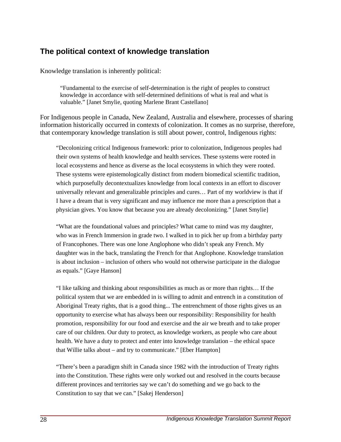#### **The political context of knowledge translation**

Knowledge translation is inherently political:

"Fundamental to the exercise of self-determination is the right of peoples to construct knowledge in accordance with self-determined definitions of what is real and what is valuable." [Janet Smylie, quoting Marlene Brant Castellano]

For Indigenous people in Canada, New Zealand, Australia and elsewhere, processes of sharing information historically occurred in contexts of colonization. It comes as no surprise, therefore, that contemporary knowledge translation is still about power, control, Indigenous rights:

"Decolonizing critical Indigenous framework: prior to colonization, Indigenous peoples had their own systems of health knowledge and health services. These systems were rooted in local ecosystems and hence as diverse as the local ecosystems in which they were rooted. These systems were epistemologically distinct from modern biomedical scientific tradition, which purposefully decontextualizes knowledge from local contexts in an effort to discover universally relevant and generalizable principles and cures… Part of my worldview is that if I have a dream that is very significant and may influence me more than a prescription that a physician gives. You know that because you are already decolonizing." [Janet Smylie]

"What are the foundational values and principles? What came to mind was my daughter, who was in French Immersion in grade two. I walked in to pick her up from a birthday party of Francophones. There was one lone Anglophone who didn't speak any French. My daughter was in the back, translating the French for that Anglophone. Knowledge translation is about inclusion – inclusion of others who would not otherwise participate in the dialogue as equals." [Gaye Hanson]

"I like talking and thinking about responsibilities as much as or more than rights… If the political system that we are embedded in is willing to admit and entrench in a constitution of Aboriginal Treaty rights, that is a good thing... The entrenchment of those rights gives us an opportunity to exercise what has always been our responsibility: Responsibility for health promotion, responsibility for our food and exercise and the air we breath and to take proper care of our children. Our duty to protect, as knowledge workers, as people who care about health. We have a duty to protect and enter into knowledge translation – the ethical space that Willie talks about – and try to communicate." [Eber Hampton]

"There's been a paradigm shift in Canada since 1982 with the introduction of Treaty rights into the Constitution. These rights were only worked out and resolved in the courts because different provinces and territories say we can't do something and we go back to the Constitution to say that we can." [Sakej Henderson]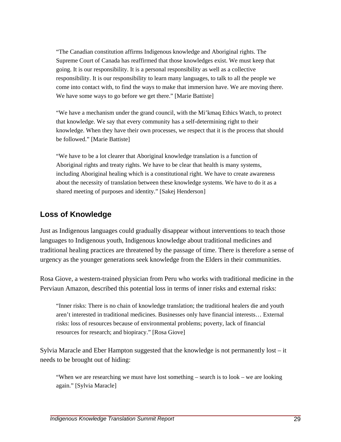"The Canadian constitution affirms Indigenous knowledge and Aboriginal rights. The Supreme Court of Canada has reaffirmed that those knowledges exist. We must keep that going. It is our responsibility. It is a personal responsibility as well as a collective responsibility. It is our responsibility to learn many languages, to talk to all the people we come into contact with, to find the ways to make that immersion have. We are moving there. We have some ways to go before we get there." [Marie Battiste]

"We have a mechanism under the grand council, with the Mi'kmaq Ethics Watch, to protect that knowledge. We say that every community has a self-determining right to their knowledge. When they have their own processes, we respect that it is the process that should be followed." [Marie Battiste]

"We have to be a lot clearer that Aboriginal knowledge translation is a function of Aboriginal rights and treaty rights. We have to be clear that health is many systems, including Aboriginal healing which is a constitutional right. We have to create awareness about the necessity of translation between these knowledge systems. We have to do it as a shared meeting of purposes and identity." [Sakej Henderson]

#### **Loss of Knowledge**

Just as Indigenous languages could gradually disappear without interventions to teach those languages to Indigenous youth, Indigenous knowledge about traditional medicines and traditional healing practices are threatened by the passage of time. There is therefore a sense of urgency as the younger generations seek knowledge from the Elders in their communities.

Rosa Giove, a western-trained physician from Peru who works with traditional medicine in the Perviaun Amazon, described this potential loss in terms of inner risks and external risks:

"Inner risks: There is no chain of knowledge translation; the traditional healers die and youth aren't interested in traditional medicines. Businesses only have financial interests… External risks: loss of resources because of environmental problems; poverty, lack of financial resources for research; and biopiracy." [Rosa Giove]

Sylvia Maracle and Eber Hampton suggested that the knowledge is not permanently lost – it needs to be brought out of hiding:

"When we are researching we must have lost something – search is to look – we are looking again." [Sylvia Maracle]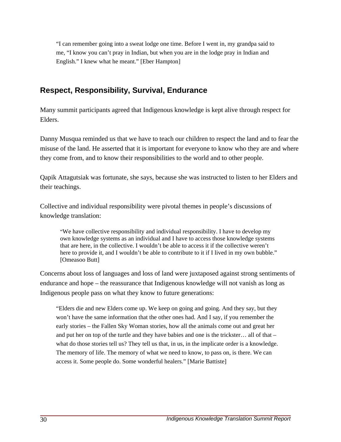"I can remember going into a sweat lodge one time. Before I went in, my grandpa said to me, "I know you can't pray in Indian, but when you are in the lodge pray in Indian and English." I knew what he meant." [Eber Hampton]

#### **Respect, Responsibility, Survival, Endurance**

Many summit participants agreed that Indigenous knowledge is kept alive through respect for Elders.

Danny Musqua reminded us that we have to teach our children to respect the land and to fear the misuse of the land. He asserted that it is important for everyone to know who they are and where they come from, and to know their responsibilities to the world and to other people.

Qapik Attagutsiak was fortunate, she says, because she was instructed to listen to her Elders and their teachings.

Collective and individual responsibility were pivotal themes in people's discussions of knowledge translation:

"We have collective responsibility and individual responsibility. I have to develop my own knowledge systems as an individual and I have to access those knowledge systems that are here, in the collective. I wouldn't be able to access it if the collective weren't here to provide it, and I wouldn't be able to contribute to it if I lived in my own bubble." [Omeasoo Butt]

Concerns about loss of languages and loss of land were juxtaposed against strong sentiments of endurance and hope – the reassurance that Indigenous knowledge will not vanish as long as Indigenous people pass on what they know to future generations:

"Elders die and new Elders come up. We keep on going and going. And they say, but they won't have the same information that the other ones had. And I say, if you remember the early stories – the Fallen Sky Woman stories, how all the animals come out and great her and put her on top of the turtle and they have babies and one is the trickster… all of that – what do those stories tell us? They tell us that, in us, in the implicate order is a knowledge. The memory of life. The memory of what we need to know, to pass on, is there. We can access it. Some people do. Some wonderful healers." [Marie Battiste]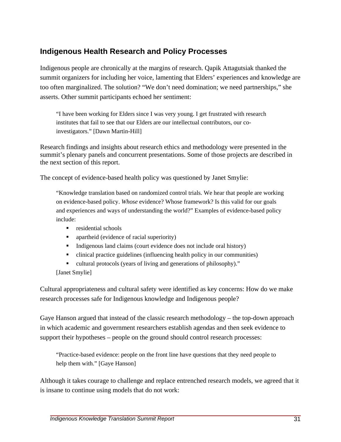#### **Indigenous Health Research and Policy Processes**

Indigenous people are chronically at the margins of research. Qapik Attagutsiak thanked the summit organizers for including her voice, lamenting that Elders' experiences and knowledge are too often marginalized. The solution? "We don't need domination; we need partnerships," she asserts. Other summit participants echoed her sentiment:

"I have been working for Elders since I was very young. I get frustrated with research institutes that fail to see that our Elders are our intellectual contributors, our coinvestigators." [Dawn Martin-Hill]

Research findings and insights about research ethics and methodology were presented in the summit's plenary panels and concurrent presentations. Some of those projects are described in the next section of this report.

The concept of evidence-based health policy was questioned by Janet Smylie:

"Knowledge translation based on randomized control trials. We hear that people are working on evidence-based policy. *Whose* evidence? Whose framework? Is this valid for our goals and experiences and ways of understanding the world?" Examples of evidence-based policy include:

- **F** residential schools
- apartheid (evidence of racial superiority)
- Indigenous land claims (court evidence does not include oral history)
- clinical practice guidelines (influencing health policy in our communities)
- cultural protocols (years of living and generations of philosophy)."

[Janet Smylie]

Cultural appropriateness and cultural safety were identified as key concerns: How do we make research processes safe for Indigenous knowledge and Indigenous people?

Gaye Hanson argued that instead of the classic research methodology – the top-down approach in which academic and government researchers establish agendas and then seek evidence to support their hypotheses – people on the ground should control research processes:

"Practice-based evidence: people on the front line have questions that they need people to help them with." [Gaye Hanson]

Although it takes courage to challenge and replace entrenched research models, we agreed that it is insane to continue using models that do not work: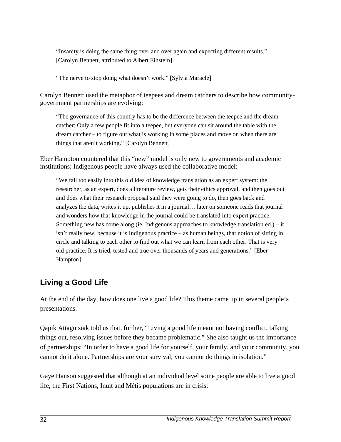"Insanity is doing the same thing over and over again and expecting different results." [Carolyn Bennett, attributed to Albert Einstein]

"The nerve to stop doing what doesn't work." [Sylvia Maracle]

Carolyn Bennett used the metaphor of teepees and dream catchers to describe how communitygovernment partnerships are evolving:

"The governance of this country has to be the difference between the teepee and the dream catcher: Only a few people fit into a teepee, but everyone can sit around the table with the dream catcher – to figure out what is working in some places and move on when there are things that aren't working." [Carolyn Bennett]

Eber Hampton countered that this "new" model is only new to governments and academic institutions; Indigenous people have always used the collaborative model:

"We fall too easily into this old idea of knowledge translation as an expert system: the researcher, as an expert, does a literature review, gets their ethics approval, and then goes out and does what their research proposal said they were going to do, then goes back and analyzes the data, writes it up, publishes it in a journal… later on someone reads that journal and wonders how that knowledge in the journal could be translated into expert practice. Something new has come along (ie. Indigenous approaches to knowledge translation ed.) – it isn't really new, because it is Indigenous practice – as human beings, that notion of sitting in circle and talking to each other to find out what we can learn from each other. That is very old practice. It is tried, tested and true over thousands of years and generations." [Eber Hampton]

### **Living a Good Life**

At the end of the day, how does one live a good life? This theme came up in several people's presentations.

Qapik Attagutsiak told us that, for her, "Living a good life meant not having conflict, talking things out, resolving issues before they became problematic." She also taught us the importance of partnerships: "In order to have a good life for yourself, your family, and your community, you cannot do it alone. Partnerships are your survival; you cannot do things in isolation."

Gaye Hanson suggested that although at an individual level some people are able to live a good life, the First Nations, Inuit and Métis populations are in crisis: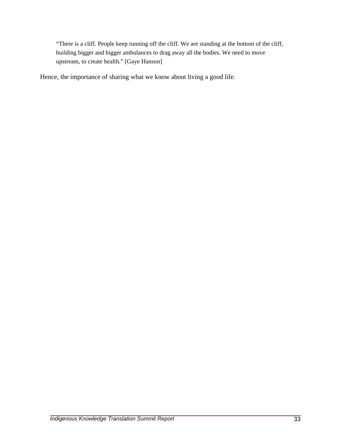"There is a cliff. People keep running off the cliff. We are standing at the bottom of the cliff, building bigger and bigger ambulances to drag away all the bodies. We need to move upstream, to create health." [Gaye Hanson]

Hence, the importance of sharing what we know about living a good life.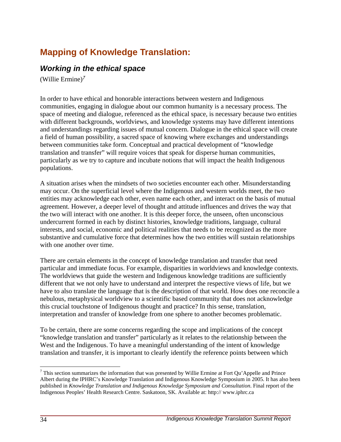# **Mapping of Knowledge Translation:**

#### *Working in the ethical space*

(Willie Ermine) $<sup>7</sup>$  $<sup>7</sup>$  $<sup>7</sup>$ </sup>

In order to have ethical and honorable interactions between western and Indigenous communities, engaging in dialogue about our common humanity is a necessary process. The space of meeting and dialogue, referenced as the ethical space, is necessary because two entities with different backgrounds, worldviews, and knowledge systems may have different intentions and understandings regarding issues of mutual concern. Dialogue in the ethical space will create a field of human possibility, a sacred space of knowing where exchanges and understandings between communities take form. Conceptual and practical development of "knowledge translation and transfer" will require voices that speak for disperse human communities, particularly as we try to capture and incubate notions that will impact the health Indigenous populations.

A situation arises when the mindsets of two societies encounter each other. Misunderstanding may occur. On the superficial level where the Indigenous and western worlds meet, the two entities may acknowledge each other, even name each other, and interact on the basis of mutual agreement. However, a deeper level of thought and attitude influences and drives the way that the two will interact with one another. It is this deeper force, the unseen, often unconscious undercurrent formed in each by distinct histories, knowledge traditions, language, cultural interests, and social, economic and political realities that needs to be recognized as the more substantive and cumulative force that determines how the two entities will sustain relationships with one another over time.

There are certain elements in the concept of knowledge translation and transfer that need particular and immediate focus. For example, disparities in worldviews and knowledge contexts. The worldviews that guide the western and Indigenous knowledge traditions are sufficiently different that we not only have to understand and interpret the respective views of life, but we have to also translate the language that is the description of that world. How does one reconcile a nebulous, metaphysical worldview to a scientific based community that does not acknowledge this crucial touchstone of Indigenous thought and practice? In this sense, translation, interpretation and transfer of knowledge from one sphere to another becomes problematic.

To be certain, there are some concerns regarding the scope and implications of the concept "knowledge translation and transfer" particularly as it relates to the relationship between the West and the Indigenous. To have a meaningful understanding of the intent of knowledge translation and transfer, it is important to clearly identify the reference points between which

 $\overline{a}$ 

<span id="page-39-0"></span> $7$  This section summarizes the information that was presented by Willie Ermine at Fort Qu'Appelle and Prince Albert during the IPHRC's Knowledge Translation and Indigenous Knowledge Symposium in 2005. It has also been published in *Knowledge Translation and Indigenous Knowledge Symposium and Consultation*. Final report of the Indigenous Peoples' Health Research Centre. Saskatoon, SK. Available at: <http://> www.iphrc.ca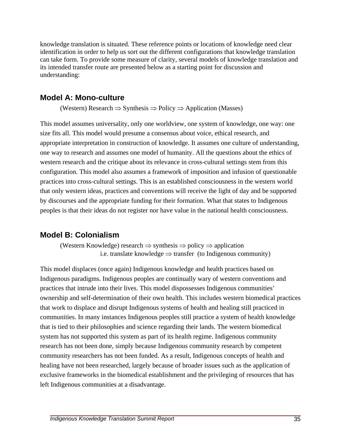knowledge translation is situated. These reference points or locations of knowledge need clear identification in order to help us sort out the different configurations that knowledge translation can take form. To provide some measure of clarity, several models of knowledge translation and its intended transfer route are presented below as a starting point for discussion and understanding:

#### **Model A: Mono-culture**

(Western) Research  $\Rightarrow$  Synthesis  $\Rightarrow$  Policy  $\Rightarrow$  Application (Masses)

This model assumes universality, only one worldview, one system of knowledge, one way: one size fits all. This model would presume a consensus about voice, ethical research, and appropriate interpretation in construction of knowledge. It assumes one culture of understanding, one way to research and assumes one model of humanity. All the questions about the ethics of western research and the critique about its relevance in cross-cultural settings stem from this configuration. This model also assumes a framework of imposition and infusion of questionable practices into cross-cultural settings. This is an established consciousness in the western world that only western ideas, practices and conventions will receive the light of day and be supported by discourses and the appropriate funding for their formation. What that states to Indigenous peoples is that their ideas do not register nor have value in the national health consciousness.

#### **Model B: Colonialism**

(Western Knowledge) research  $\Rightarrow$  synthesis  $\Rightarrow$  policy  $\Rightarrow$  application i.e. translate knowledge  $\Rightarrow$  transfer (to Indigenous community)

This model displaces (once again) Indigenous knowledge and health practices based on Indigenous paradigms. Indigenous peoples are continually wary of western conventions and practices that intrude into their lives. This model dispossesses Indigenous communities' ownership and self-determination of their own health. This includes western biomedical practices that work to displace and disrupt Indigenous systems of health and healing still practiced in communities. In many instances Indigenous peoples still practice a system of health knowledge that is tied to their philosophies and science regarding their lands. The western biomedical system has not supported this system as part of its health regime. Indigenous community research has not been done, simply because Indigenous community research by competent community researchers has not been funded. As a result, Indigenous concepts of health and healing have not been researched, largely because of broader issues such as the application of exclusive frameworks in the biomedical establishment and the privileging of resources that has left Indigenous communities at a disadvantage.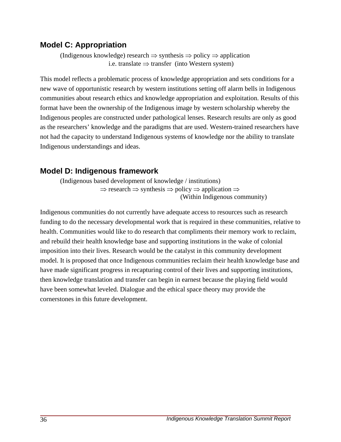#### **Model C: Appropriation**

(Indigenous knowledge) research  $\Rightarrow$  synthesis  $\Rightarrow$  policy  $\Rightarrow$  application i.e. translate  $\Rightarrow$  transfer (into Western system)

This model reflects a problematic process of knowledge appropriation and sets conditions for a new wave of opportunistic research by western institutions setting off alarm bells in Indigenous communities about research ethics and knowledge appropriation and exploitation. Results of this format have been the ownership of the Indigenous image by western scholarship whereby the Indigenous peoples are constructed under pathological lenses. Research results are only as good as the researchers' knowledge and the paradigms that are used. Western-trained researchers have not had the capacity to understand Indigenous systems of knowledge nor the ability to translate Indigenous understandings and ideas.

#### **Model D: Indigenous framework**

(Indigenous based development of knowledge / institutions)  $\Rightarrow$  research  $\Rightarrow$  synthesis  $\Rightarrow$  policy  $\Rightarrow$  application  $\Rightarrow$ (Within Indigenous community)

Indigenous communities do not currently have adequate access to resources such as research funding to do the necessary developmental work that is required in these communities, relative to health. Communities would like to do research that compliments their memory work to reclaim, and rebuild their health knowledge base and supporting institutions in the wake of colonial imposition into their lives. Research would be the catalyst in this community development model. It is proposed that once Indigenous communities reclaim their health knowledge base and have made significant progress in recapturing control of their lives and supporting institutions, then knowledge translation and transfer can begin in earnest because the playing field would have been somewhat leveled. Dialogue and the ethical space theory may provide the cornerstones in this future development.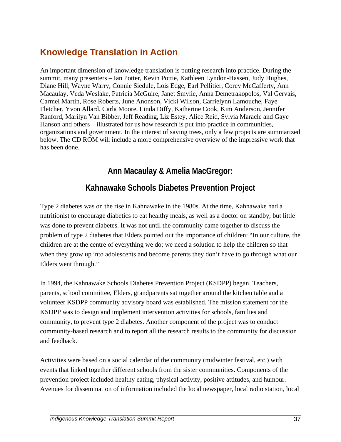# **Knowledge Translation in Action**

An important dimension of knowledge translation is putting research into practice. During the summit, many presenters – Ian Potter, Kevin Pottie, Kathleen Lyndon-Hassen, Judy Hughes, Diane Hill, Wayne Warry, Connie Siedule, Lois Edge, Earl Pellitier, Corey McCafferty, Ann Macaulay, Veda Weslake, Patricia McGuire, Janet Smylie, Anna Demetrakopolos, Val Gervais, Carmel Martin, Rose Roberts, June Anonson, Vicki Wilson, Carrielynn Lamouche, Faye Fletcher, Yvon Allard, Carla Moore, Linda Diffy, Katherine Cook, Kim Anderson, Jennifer Ranford, Marilyn Van Bibber, Jeff Reading, Liz Estey, Alice Reid, Sylvia Maracle and Gaye Hanson and others – illustrated for us how research is put into practice in communities, organizations and government. In the interest of saving trees, only a few projects are summarized below. The CD ROM will include a more comprehensive overview of the impressive work that has been done.

# **Ann Macaulay & Amelia MacGregor:**

# **Kahnawake Schools Diabetes Prevention Project**

Type 2 diabetes was on the rise in Kahnawake in the 1980s. At the time, Kahnawake had a nutritionist to encourage diabetics to eat healthy meals, as well as a doctor on standby, but little was done to prevent diabetes. It was not until the community came together to discuss the problem of type 2 diabetes that Elders pointed out the importance of children: "In our culture, the children are at the centre of everything we do; we need a solution to help the children so that when they grow up into adolescents and become parents they don't have to go through what our Elders went through."

In 1994, the Kahnawake Schools Diabetes Prevention Project (KSDPP) began. Teachers, parents, school committee, Elders, grandparents sat together around the kitchen table and a volunteer KSDPP community advisory board was established. The mission statement for the KSDPP was to design and implement intervention activities for schools, families and community, to prevent type 2 diabetes. Another component of the project was to conduct community-based research and to report all the research results to the community for discussion and feedback.

Activities were based on a social calendar of the community (midwinter festival, etc.) with events that linked together different schools from the sister communities. Components of the prevention project included healthy eating, physical activity, positive attitudes, and humour. Avenues for dissemination of information included the local newspaper, local radio station, local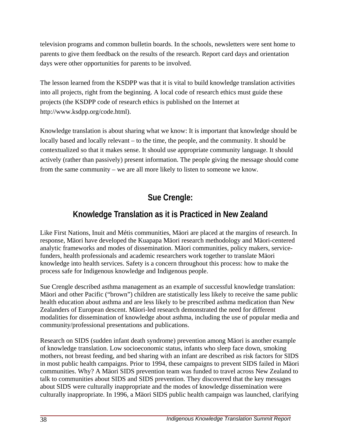television programs and common bulletin boards. In the schools, newsletters were sent home to parents to give them feedback on the results of the research. Report card days and orientation days were other opportunities for parents to be involved.

The lesson learned from the KSDPP was that it is vital to build knowledge translation activities into all projects, right from the beginning. A local code of research ethics must guide these projects (the KSDPP code of research ethics is published on the Internet at http://www.ksdpp.org/code.html).

Knowledge translation is about sharing what we know: It is important that knowledge should be locally based and locally relevant – to the time, the people, and the community. It should be contextualized so that it makes sense. It should use appropriate community language. It should actively (rather than passively) present information. The people giving the message should come from the same community – we are all more likely to listen to someone we know.

# **Sue Crengle:**

# **Knowledge Translation as it is Practiced in New Zealand**

Like First Nations, Inuit and Métis communities, Mäori are placed at the margins of research. In response, Mäori have developed the Kuapapa Mäori research methodology and Mäori-centered analytic frameworks and modes of dissemination. Mäori communities, policy makers, servicefunders, health professionals and academic researchers work together to translate Mäori knowledge into health services. Safety is a concern throughout this process: how to make the process safe for Indigenous knowledge and Indigenous people.

Sue Crengle described asthma management as an example of successful knowledge translation: Mäori and other Pacific ("brown") children are statistically less likely to receive the same public health education about asthma and are less likely to be prescribed asthma medication than New Zealanders of European descent. Mäori-led research demonstrated the need for different modalities for dissemination of knowledge about asthma, including the use of popular media and community/professional presentations and publications.

Research on SIDS (sudden infant death syndrome) prevention among Mäori is another example of knowledge translation. Low socioeconomic status, infants who sleep face down, smoking mothers, not breast feeding, and bed sharing with an infant are described as risk factors for SIDS in most public health campaigns. Prior to 1994, these campaigns to prevent SIDS failed in Mäori communities. Why? A Mäori SIDS prevention team was funded to travel across New Zealand to talk to communities about SIDS and SIDS prevention. They discovered that the key messages about SIDS were culturally inappropriate and the modes of knowledge dissemination were culturally inappropriate. In 1996, a Mäori SIDS public health campaign was launched, clarifying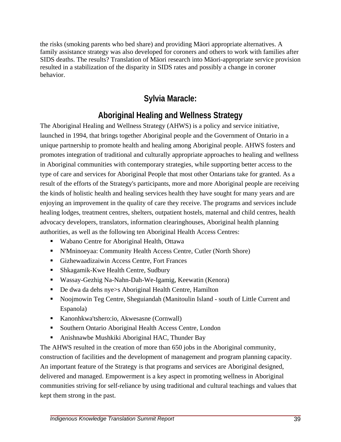the risks (smoking parents who bed share) and providing Mäori appropriate alternatives. A family assistance strategy was also developed for coroners and others to work with families after SIDS deaths. The results? Translation of Mäori research into Mäori-appropriate service provision resulted in a stabilization of the disparity in SIDS rates and possibly a change in coroner behavior.

# **Sylvia Maracle:**

# **Aboriginal Healing and Wellness Strategy**

The Aboriginal Healing and Wellness Strategy (AHWS) is a policy and service initiative, launched in 1994, that brings together Aboriginal people and the Government of Ontario in a unique partnership to promote health and healing among Aboriginal people. AHWS fosters and promotes integration of traditional and culturally appropriate approaches to healing and wellness in Aboriginal communities with contemporary strategies, while supporting better access to the type of care and services for Aboriginal People that most other Ontarians take for granted. As a result of the efforts of the Strategy's participants, more and more Aboriginal people are receiving the kinds of holistic health and healing services health they have sought for many years and are enjoying an improvement in the quality of care they receive. The programs and services include healing lodges, treatment centres, shelters, outpatient hostels, maternal and child centres, health advocacy developers, translators, information clearinghouses, Aboriginal health planning authorities, as well as the following ten Aboriginal Health Access Centres:

- Wabano Centre for Aboriginal Health, Ottawa
- N'Mninoeyaa: Community Health Access Centre, Cutler (North Shore)
- Gizhewaadizaiwin Access Centre, Fort Frances
- Shkagamik-Kwe Health Centre, Sudbury
- Wassay-Gezhig Na-Nahn-Dah-We-Igamig, Keewatin (Kenora)
- De dwa da dehs nye>s Aboriginal Health Centre, Hamilton
- Noojmowin Teg Centre, Sheguiandah (Manitoulin Island south of Little Current and Espanola)
- Kanonhkwa'tshero:io, Akwesasne (Cornwall)
- **Southern Ontario Aboriginal Health Access Centre, London**
- Anishnawbe Mushkiki Aboriginal HAC, Thunder Bay

The AHWS resulted in the creation of more than 650 jobs in the Aboriginal community, construction of facilities and the development of management and program planning capacity. An important feature of the Strategy is that programs and services are Aboriginal designed, delivered and managed. Empowerment is a key aspect in promoting wellness in Aboriginal communities striving for self-reliance by using traditional and cultural teachings and values that kept them strong in the past.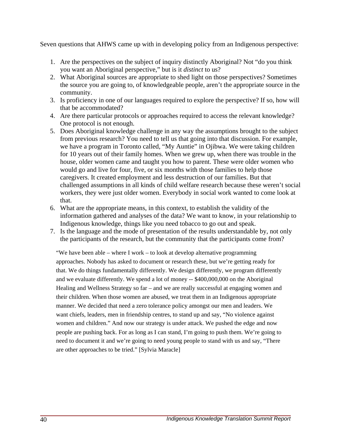Seven questions that AHWS came up with in developing policy from an Indigenous perspective:

- 1. Are the perspectives on the subject of inquiry distinctly Aboriginal? Not "do you think you want an Aboriginal perspective," but is it *distinct* to us?
- 2. What Aboriginal sources are appropriate to shed light on those perspectives? Sometimes the source you are going to, of knowledgeable people, aren't the appropriate source in the community.
- 3. Is proficiency in one of our languages required to explore the perspective? If so, how will that be accommodated?
- 4. Are there particular protocols or approaches required to access the relevant knowledge? One protocol is not enough.
- 5. Does Aboriginal knowledge challenge in any way the assumptions brought to the subject from previous research? You need to tell us that going into that discussion. For example, we have a program in Toronto called, "My Auntie" in Ojibwa. We were taking children for 10 years out of their family homes. When we grew up, when there was trouble in the house, older women came and taught you how to parent. These were older women who would go and live for four, five, or six months with those families to help those caregivers. It created employment and less destruction of our families. But that challenged assumptions in all kinds of child welfare research because these weren't social workers, they were just older women. Everybody in social work wanted to come look at that.
- 6. What are the appropriate means, in this context, to establish the validity of the information gathered and analyses of the data? We want to know, in your relationship to Indigenous knowledge, things like you need tobacco to go out and speak.
- 7. Is the language and the mode of presentation of the results understandable by, not only the participants of the research, but the community that the participants come from?

"We have been able – where I work – to look at develop alternative programming approaches. Nobody has asked to document or research these, but we're getting ready for that. We do things fundamentally differently. We design differently, we program differently and we evaluate differently. We spend a lot of money -- \$400,000,000 on the Aboriginal Healing and Wellness Strategy so far – and we are really successful at engaging women and their children. When those women are abused, we treat them in an Indigenous appropriate manner. We decided that need a zero tolerance policy amongst our men and leaders. We want chiefs, leaders, men in friendship centres, to stand up and say, "No violence against women and children." And now our strategy is under attack. We pushed the edge and now people are pushing back. For as long as I can stand, I'm going to push them. We're going to need to document it and we're going to need young people to stand with us and say, "There are other approaches to be tried." [Sylvia Maracle]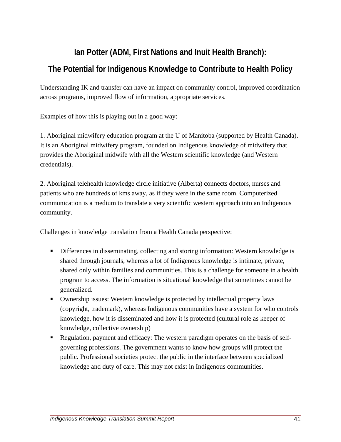# **Ian Potter (ADM, First Nations and Inuit Health Branch): The Potential for Indigenous Knowledge to Contribute to Health Policy**

Understanding IK and transfer can have an impact on community control, improved coordination across programs, improved flow of information, appropriate services.

Examples of how this is playing out in a good way:

1. Aboriginal midwifery education program at the U of Manitoba (supported by Health Canada). It is an Aboriginal midwifery program, founded on Indigenous knowledge of midwifery that provides the Aboriginal midwife with all the Western scientific knowledge (and Western credentials).

2. Aboriginal telehealth knowledge circle initiative (Alberta) connects doctors, nurses and patients who are hundreds of kms away, as if they were in the same room. Computerized communication is a medium to translate a very scientific western approach into an Indigenous community.

Challenges in knowledge translation from a Health Canada perspective:

- Differences in disseminating, collecting and storing information: Western knowledge is shared through journals, whereas a lot of Indigenous knowledge is intimate, private, shared only within families and communities. This is a challenge for someone in a health program to access. The information is situational knowledge that sometimes cannot be generalized.
- Ownership issues: Western knowledge is protected by intellectual property laws (copyright, trademark), whereas Indigenous communities have a system for who controls knowledge, how it is disseminated and how it is protected (cultural role as keeper of knowledge, collective ownership)
- Regulation, payment and efficacy: The western paradigm operates on the basis of selfgoverning professions. The government wants to know how groups will protect the public. Professional societies protect the public in the interface between specialized knowledge and duty of care. This may not exist in Indigenous communities.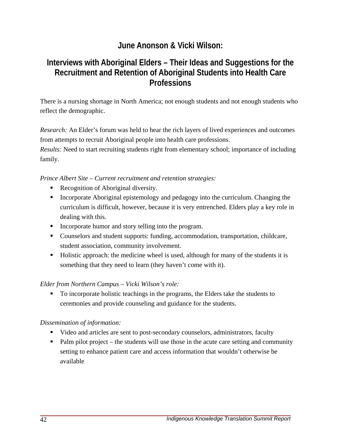# **June Anonson & Vicki Wilson:**

## **Interviews with Aboriginal Elders – Their Ideas and Suggestions for the Recruitment and Retention of Aboriginal Students into Health Care Professions**

There is a nursing shortage in North America; not enough students and not enough students who reflect the demographic.

*Research:* An Elder's forum was held to hear the rich layers of lived experiences and outcomes from attempts to recruit Aboriginal people into health care professions. *Results:* Need to start recruiting students right from elementary school; importance of including

*Prince Albert Site – Current recruitment and retention strategies:* 

- Recognition of Aboriginal diversity.
- Incorporate Aboriginal epistemology and pedagogy into the curriculum. Changing the curriculum is difficult, however, because it is very entrenched. Elders play a key role in dealing with this.
- **Incorporate humor and story telling into the program.**
- Counselors and student supports: funding, accommodation, transportation, childcare, student association, community involvement.
- Holistic approach: the medicine wheel is used, although for many of the students it is something that they need to learn (they haven't come with it).

#### *Elder from Northern Campus – Vicki Wilson's role:*

• To incorporate holistic teachings in the programs, the Elders take the students to ceremonies and provide counseling and guidance for the students.

#### *Dissemination of information:*

- Video and articles are sent to post-secondary counselors, administrators, faculty
- $\blacksquare$  Palm pilot project the students will use those in the acute care setting and community setting to enhance patient care and access information that wouldn't otherwise be available

family.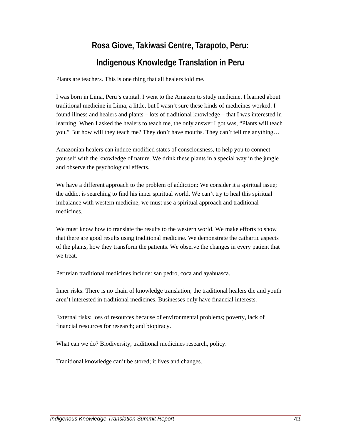# **Rosa Giove, Takiwasi Centre, Tarapoto, Peru: Indigenous Knowledge Translation in Peru**

Plants are teachers. This is one thing that all healers told me.

I was born in Lima, Peru's capital. I went to the Amazon to study medicine. I learned about traditional medicine in Lima, a little, but I wasn't sure these kinds of medicines worked. I found illness and healers and plants – lots of traditional knowledge – that I was interested in learning. When I asked the healers to teach me, the only answer I got was, "Plants will teach you." But how will they teach me? They don't have mouths. They can't tell me anything…

Amazonian healers can induce modified states of consciousness, to help you to connect yourself with the knowledge of nature. We drink these plants in a special way in the jungle and observe the psychological effects.

We have a different approach to the problem of addiction: We consider it a spiritual issue; the addict is searching to find his inner spiritual world. We can't try to heal this spiritual imbalance with western medicine; we must use a spiritual approach and traditional medicines.

We must know how to translate the results to the western world. We make efforts to show that there are good results using traditional medicine. We demonstrate the cathartic aspects of the plants, how they transform the patients. We observe the changes in every patient that we treat.

Peruvian traditional medicines include: san pedro, coca and ayahuasca.

Inner risks: There is no chain of knowledge translation; the traditional healers die and youth aren't interested in traditional medicines. Businesses only have financial interests.

External risks: loss of resources because of environmental problems; poverty, lack of financial resources for research; and biopiracy.

What can we do? Biodiversity, traditional medicines research, policy.

Traditional knowledge can't be stored; it lives and changes.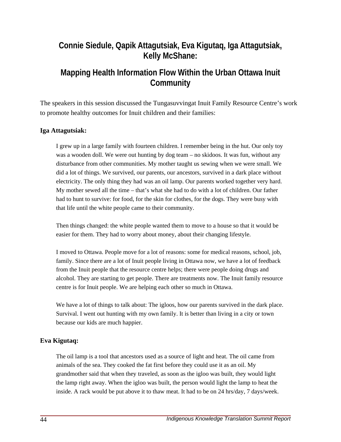## **Connie Siedule, Qapik Attagutsiak, Eva Kigutaq, Iga Attagutsiak, Kelly McShane:**

### **Mapping Health Information Flow Within the Urban Ottawa Inuit Community**

The speakers in this session discussed the Tungasuvvingat Inuit Family Resource Centre's work to promote healthy outcomes for Inuit children and their families:

#### **Iga Attagutsiak:**

I grew up in a large family with fourteen children. I remember being in the hut. Our only toy was a wooden doll. We were out hunting by dog team – no skidoos. It was fun, without any disturbance from other communities. My mother taught us sewing when we were small. We did a lot of things. We survived, our parents, our ancestors, survived in a dark place without electricity. The only thing they had was an oil lamp. Our parents worked together very hard. My mother sewed all the time – that's what she had to do with a lot of children. Our father had to hunt to survive: for food, for the skin for clothes, for the dogs. They were busy with that life until the white people came to their community.

Then things changed: the white people wanted them to move to a house so that it would be easier for them. They had to worry about money, about their changing lifestyle.

I moved to Ottawa. People move for a lot of reasons: some for medical reasons, school, job, family. Since there are a lot of Inuit people living in Ottawa now, we have a lot of feedback from the Inuit people that the resource centre helps; there were people doing drugs and alcohol. They are starting to get people. There are treatments now. The Inuit family resource centre is for Inuit people. We are helping each other so much in Ottawa.

We have a lot of things to talk about: The igloos, how our parents survived in the dark place. Survival. I went out hunting with my own family. It is better than living in a city or town because our kids are much happier.

#### **Eva Kigutaq:**

The oil lamp is a tool that ancestors used as a source of light and heat. The oil came from animals of the sea. They cooked the fat first before they could use it as an oil. My grandmother said that when they traveled, as soon as the igloo was built, they would light the lamp right away. When the igloo was built, the person would light the lamp to heat the inside. A rack would be put above it to thaw meat. It had to be on 24 hrs/day, 7 days/week.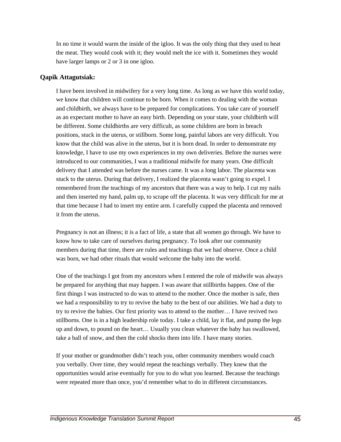In no time it would warm the inside of the igloo. It was the only thing that they used to heat the meat. They would cook with it; they would melt the ice with it. Sometimes they would have larger lamps or 2 or 3 in one igloo.

#### **Qapik Attagutsiak:**

I have been involved in midwifery for a very long time. As long as we have this world today, we know that children will continue to be born. When it comes to dealing with the woman and childbirth, we always have to be prepared for complications. You take care of yourself as an expectant mother to have an easy birth. Depending on your state, your childbirth will be different. Some childbirths are very difficult, as some children are born in breach positions, stuck in the uterus, or stillborn. Some long, painful labors are very difficult. You know that the child was alive in the uterus, but it is born dead. In order to demonstrate my knowledge, I have to use my own experiences in my own deliveries. Before the nurses were introduced to our communities, I was a traditional midwife for many years. One difficult delivery that I attended was before the nurses came. It was a long labor. The placenta was stuck to the uterus. During that delivery, I realized the placenta wasn't going to expel. I remembered from the teachings of my ancestors that there was a way to help. I cut my nails and then inserted my hand, palm up, to scrape off the placenta. It was very difficult for me at that time because I had to insert my entire arm. I carefully cupped the placenta and removed it from the uterus.

Pregnancy is not an illness; it is a fact of life, a state that all women go through. We have to know how to take care of ourselves during pregnancy. To look after our community members during that time, there are rules and teachings that we had observe. Once a child was born, we had other rituals that would welcome the baby into the world.

One of the teachings I got from my ancestors when I entered the role of midwife was always be prepared for anything that may happen. I was aware that stillbirths happen. One of the first things I was instructed to do was to attend to the mother. Once the mother is safe, then we had a responsibility to try to revive the baby to the best of our abilities. We had a duty to try to revive the babies. Our first priority was to attend to the mother… I have revived two stillborns. One is in a high leadership role today. I take a child, lay it flat, and pump the legs up and down, to pound on the heart… Usually you clean whatever the baby has swallowed, take a ball of snow, and then the cold shocks them into life. I have many stories.

If your mother or grandmother didn't teach you, other community members would coach you verbally. Over time, they would repeat the teachings verbally. They knew that the opportunities would arise eventually for you to do what you learned. Because the teachings were repeated more than once, you'd remember what to do in different circumstances.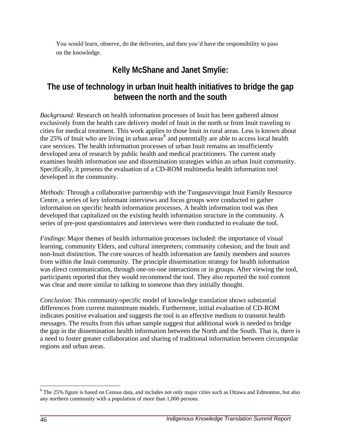You would learn, observe, do the deliveries, and then you'd have the responsibility to pass on the knowledge.

# **Kelly McShane and Janet Smylie:**

# **The use of technology in urban Inuit health initiatives to bridge the gap between the north and the south**

*Background:* Research on health information processes of Inuit has been gathered almost exclusively from the health care delivery model of Inuit in the north or from Inuit traveling to cities for medical treatment. This work applies to those Inuit in rural areas. Less is known about the  $25\%$  of Inuit who are living in urban areas<sup>[8](#page-51-0)</sup> and potentially are able to access local health care services. The health information processes of urban Inuit remains an insufficiently developed area of research by public health and medical practitioners. The current study examines health information use and dissemination strategies within an urban Inuit community. Specifically, it presents the evaluation of a CD-ROM multimedia health information tool developed in the community.

*Methods*: Through a collaborative partnership with the Tungasuvvingat Inuit Family Resource Centre, a series of key informant interviews and focus groups were conducted to gather information on specific health information processes. A health information tool was then developed that capitalized on the existing health information structure in the community. A series of pre-post questionnaires and interviews were then conducted to evaluate the tool.

*Findings*: Major themes of health information processes included: the importance of visual learning, community Elders, and cultural interpreters; community cohesion; and the Inuit and non-Inuit distinction. The core sources of health information are family members and sources from within the Inuit community. The principle dissemination strategy for health information was direct communication, through one-on-one interactions or in groups. After viewing the tool, participants reported that they would recommend the tool. They also reported the tool content was clear and more similar to talking to someone than they initially thought.

*Conclusion*: This community-specific model of knowledge translation shows substantial differences from current mainstream models. Furthermore, initial evaluation of CD-ROM indicates positive evaluation and suggests the tool is an effective medium to transmit health messages. The results from this urban sample suggest that additional work is needed to bridge the gap in the dissemination health information between the North and the South. That is, there is a need to foster greater collaboration and sharing of traditional information between circumpolar regions and urban areas.

 $\overline{a}$ 

<span id="page-51-0"></span><sup>&</sup>lt;sup>8</sup> The 25% figure is based on Census data, and includes not only major cities such as Ottawa and Edmonton, but also any northern community with a population of more than 1,000 persons.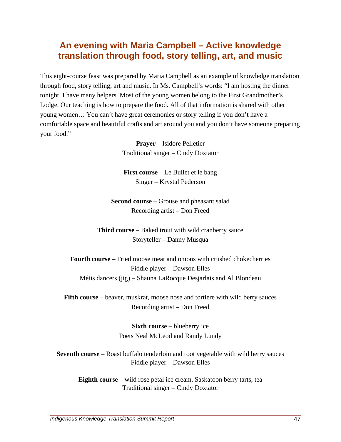# **An evening with Maria Campbell – Active knowledge translation through food, story telling, art, and music**

This eight-course feast was prepared by Maria Campbell as an example of knowledge translation through food, story telling, art and music. In Ms. Campbell's words: "I am hosting the dinner tonight. I have many helpers. Most of the young women belong to the First Grandmother's Lodge. Our teaching is how to prepare the food. All of that information is shared with other young women… You can't have great ceremonies or story telling if you don't have a comfortable space and beautiful crafts and art around you and you don't have someone preparing your food."

> **Prayer** – Isidore Pelletier Traditional singer – Cindy Doxtator

**First course** – Le Bullet et le bang Singer – Krystal Pederson

**Second course** – Grouse and pheasant salad Recording artist – Don Freed

**Third course** – Baked trout with wild cranberry sauce Storyteller – Danny Musqua

**Fourth course** – Fried moose meat and onions with crushed chokecherries Fiddle player – Dawson Elles Métis dancers (jig) – Shauna LaRocque Desjarlais and Al Blondeau

**Fifth course** – beaver, muskrat, moose nose and tortiere with wild berry sauces Recording artist – Don Freed

> **Sixth course** – blueberry ice Poets Neal McLeod and Randy Lundy

**Seventh course** – Roast buffalo tenderloin and root vegetable with wild berry sauces Fiddle player – Dawson Elles

**Eighth cours**e – wild rose petal ice cream, Saskatoon berry tarts, tea Traditional singer – Cindy Doxtator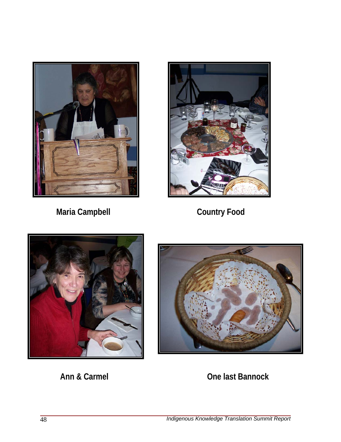

Maria Campbell **Country Food** 







**Ann & Carmel Carmel Carmel Ann & Carmel Ann According Carmel Ann According Care Iast Bannock**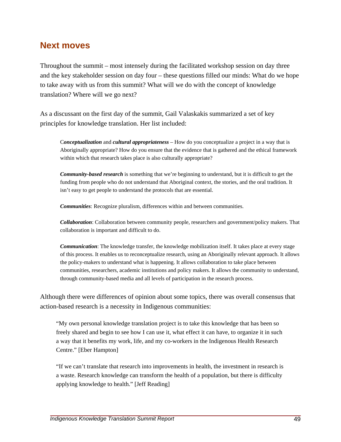### **Next moves**

Throughout the summit – most intensely during the facilitated workshop session on day three and the key stakeholder session on day four – these questions filled our minds: What do we hope to take away with us from this summit? What will we do with the concept of knowledge translation? Where will we go next?

As a discussant on the first day of the summit, Gail Valaskakis summarized a set of key principles for knowledge translation. Her list included:

C*onceptualization* and *cultural appropriateness* – How do you conceptualize a project in a way that is Aboriginally appropriate? How do you ensure that the evidence that is gathered and the ethical framework within which that research takes place is also culturally appropriate?

*Community-based research* is something that we're beginning to understand, but it is difficult to get the funding from people who do not understand that Aboriginal context, the stories, and the oral tradition. It isn't easy to get people to understand the protocols that are essential.

*Communities*: Recognize pluralism, differences within and between communities.

*Collaboration*: Collaboration between community people, researchers and government/policy makers. That collaboration is important and difficult to do.

*Communication*: The knowledge transfer, the knowledge mobilization itself. It takes place at every stage of this process. It enables us to reconceptualize research, using an Aboriginally relevant approach. It allows the policy-makers to understand what is happening. It allows collaboration to take place between communities, researchers, academic institutions and policy makers. It allows the community to understand, through community-based media and all levels of participation in the research process.

Although there were differences of opinion about some topics, there was overall consensus that action-based research is a necessity in Indigenous communities:

"My own personal knowledge translation project is to take this knowledge that has been so freely shared and begin to see how I can use it, what effect it can have, to organize it in such a way that it benefits my work, life, and my co-workers in the Indigenous Health Research Centre." [Eber Hampton]

"If we can't translate that research into improvements in health, the investment in research is a waste. Research knowledge can transform the health of a population, but there is difficulty applying knowledge to health." [Jeff Reading]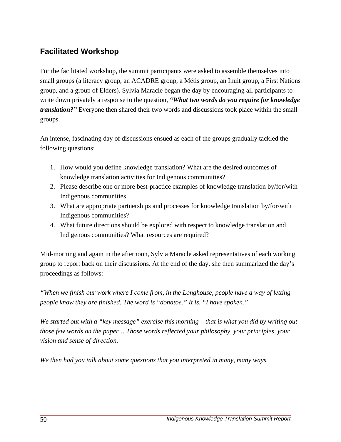### **Facilitated Workshop**

For the facilitated workshop, the summit participants were asked to assemble themselves into small groups (a literacy group, an ACADRE group, a Métis group, an Inuit group, a First Nations group, and a group of Elders). Sylvia Maracle began the day by encouraging all participants to write down privately a response to the question, *"What two words do you require for knowledge translation?"* Everyone then shared their two words and discussions took place within the small groups.

An intense, fascinating day of discussions ensued as each of the groups gradually tackled the following questions:

- 1. How would you define knowledge translation? What are the desired outcomes of knowledge translation activities for Indigenous communities?
- 2. Please describe one or more best-practice examples of knowledge translation by/for/with Indigenous communities.
- 3. What are appropriate partnerships and processes for knowledge translation by/for/with Indigenous communities?
- 4. What future directions should be explored with respect to knowledge translation and Indigenous communities? What resources are required?

Mid-morning and again in the afternoon, Sylvia Maracle asked representatives of each working group to report back on their discussions. At the end of the day, she then summarized the day's proceedings as follows:

*"When we finish our work where I come from, in the Longhouse, people have a way of letting people know they are finished. The word is "donatoe." It is, "I have spoken."* 

*We started out with a "key message" exercise this morning – that is what you did by writing out those few words on the paper… Those words reflected your philosophy, your principles, your vision and sense of direction.* 

*We then had you talk about some questions that you interpreted in many, many ways.*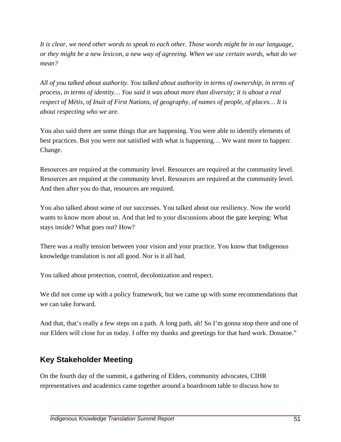*It is clear, we need other words to speak to each other. Those words might be in our language, or they might be a new lexicon, a new way of agreeing. When we use certain words, what do we mean?* 

*All of you talked about authority. You talked about authority in terms of ownership, in terms of process, in terms of identity… You said it was about more than diversity; it is about a real respect of Métis, of Inuit of First Nations, of geography, of names of people, of places… It is about respecting who we are.* 

You also said there are some things that are happening. You were able to identify elements of best practices. But you were not satisfied with what is happening… We want more to happen: Change.

Resources are required at the community level. Resources are required at the community level. Resources are required at the community level. Resources are required at the community level. And then after you do that, resources are required.

You also talked about some of our successes. You talked about our resiliency. Now the world wants to know more about us. And that led to your discussions about the gate keeping: What stays inside? What goes out? How?

There was a really tension between your vision and your practice. You know that Indigenous knowledge translation is not all good. Nor is it all bad.

You talked about protection, control, decolonization and respect.

We did not come up with a policy framework, but we came up with some recommendations that we can take forward.

And that, that's really a few steps on a path. A long path, ah! So I'm gonna stop there and one of our Elders will close for us today. I offer my thanks and greetings for that hard work. Donatoe."

#### **Key Stakeholder Meeting**

On the fourth day of the summit, a gathering of Elders, community advocates, CIHR representatives and academics came together around a boardroom table to discuss how to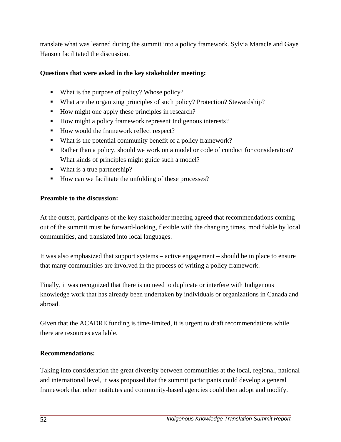translate what was learned during the summit into a policy framework. Sylvia Maracle and Gaye Hanson facilitated the discussion.

#### **Questions that were asked in the key stakeholder meeting:**

- What is the purpose of policy? Whose policy?
- What are the organizing principles of such policy? Protection? Stewardship?
- How might one apply these principles in research?
- How might a policy framework represent Indigenous interests?
- How would the framework reflect respect?
- What is the potential community benefit of a policy framework?
- Rather than a policy, should we work on a model or code of conduct for consideration? What kinds of principles might guide such a model?
- What is a true partnership?
- How can we facilitate the unfolding of these processes?

#### **Preamble to the discussion:**

At the outset, participants of the key stakeholder meeting agreed that recommendations coming out of the summit must be forward-looking, flexible with the changing times, modifiable by local communities, and translated into local languages.

It was also emphasized that support systems – active engagement – should be in place to ensure that many communities are involved in the process of writing a policy framework.

Finally, it was recognized that there is no need to duplicate or interfere with Indigenous knowledge work that has already been undertaken by individuals or organizations in Canada and abroad.

Given that the ACADRE funding is time-limited, it is urgent to draft recommendations while there are resources available.

#### **Recommendations:**

Taking into consideration the great diversity between communities at the local, regional, national and international level, it was proposed that the summit participants could develop a general framework that other institutes and community-based agencies could then adopt and modify.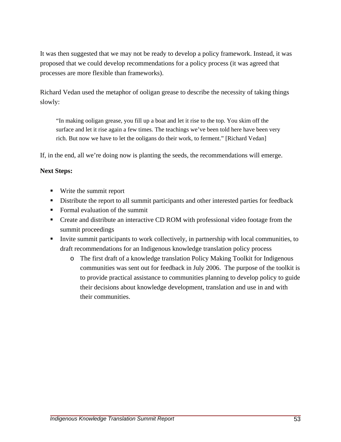It was then suggested that we may not be ready to develop a policy framework. Instead, it was proposed that we could develop recommendations for a policy process (it was agreed that processes are more flexible than frameworks).

Richard Vedan used the metaphor of ooligan grease to describe the necessity of taking things slowly:

"In making ooligan grease, you fill up a boat and let it rise to the top. You skim off the surface and let it rise again a few times. The teachings we've been told here have been very rich. But now we have to let the ooligans do their work, to ferment." [Richard Vedan]

If, in the end, all we're doing now is planting the seeds, the recommendations will emerge.

#### **Next Steps:**

- Write the summit report
- Distribute the report to all summit participants and other interested parties for feedback
- Formal evaluation of the summit
- Create and distribute an interactive CD ROM with professional video footage from the summit proceedings
- Invite summit participants to work collectively, in partnership with local communities, to draft recommendations for an Indigenous knowledge translation policy process
	- o The first draft of a knowledge translation Policy Making Toolkit for Indigenous communities was sent out for feedback in July 2006. The purpose of the toolkit is to provide practical assistance to communities planning to develop policy to guide their decisions about knowledge development, translation and use in and with their communities.